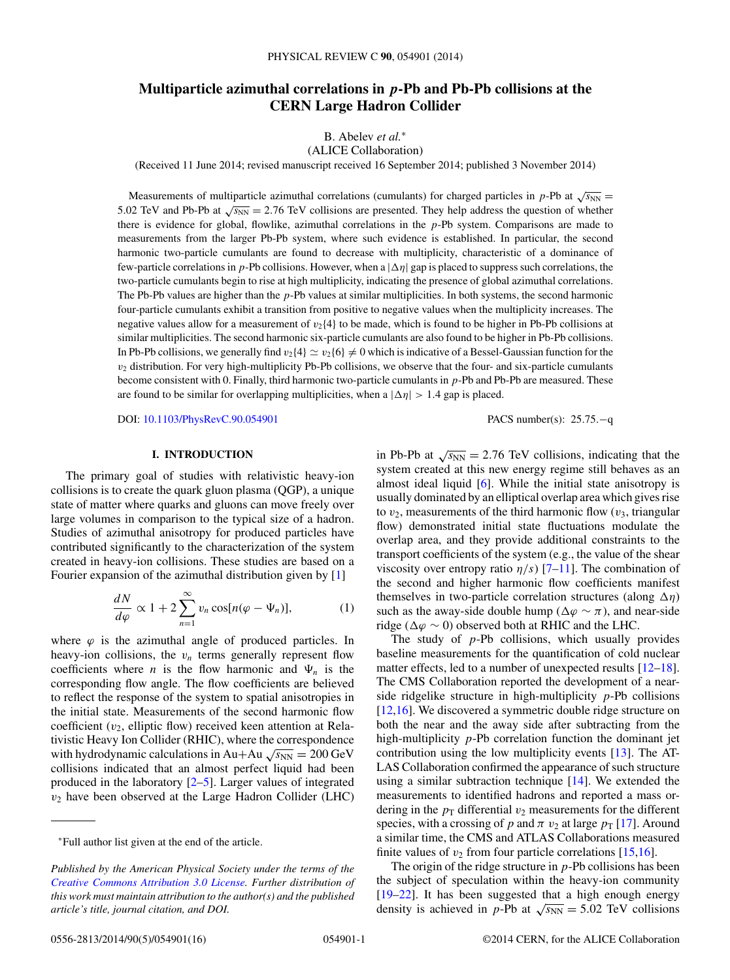# <span id="page-0-0"></span>**Multiparticle azimuthal correlations in** *p***-Pb and Pb-Pb collisions at the CERN Large Hadron Collider**

## B. Abelev *et al.*<sup>∗</sup>

(ALICE Collaboration)

(Received 11 June 2014; revised manuscript received 16 September 2014; published 3 November 2014)

Measurements of multiparticle azimuthal correlations (cumulants) for charged particles in p-Pb at  $\sqrt{s_{NN}}$  = 5.02 TeV and Pb-Pb at  $\sqrt{s_{NN}}$  = 2.76 TeV collisions are presented. They help address the question of whether there is evidence for global, flowlike, azimuthal correlations in the  $p$ -Pb system. Comparisons are made to measurements from the larger Pb-Pb system, where such evidence is established. In particular, the second harmonic two-particle cumulants are found to decrease with multiplicity, characteristic of a dominance of few-particle correlations in p-Pb collisions. However, when a  $|\Delta\eta|$  gap is placed to suppress such correlations, the two-particle cumulants begin to rise at high multiplicity, indicating the presence of global azimuthal correlations. The Pb-Pb values are higher than the p-Pb values at similar multiplicities. In both systems, the second harmonic four-particle cumulants exhibit a transition from positive to negative values when the multiplicity increases. The negative values allow for a measurement of  $v_2{4}$  to be made, which is found to be higher in Pb-Pb collisions at similar multiplicities. The second harmonic six-particle cumulants are also found to be higher in Pb-Pb collisions. In Pb-Pb collisions, we generally find  $v_2{4} \simeq v_2{6} \neq 0$  which is indicative of a Bessel-Gaussian function for the  $v_2$  distribution. For very high-multiplicity Pb-Pb collisions, we observe that the four- and six-particle cumulants become consistent with 0. Finally, third harmonic two-particle cumulants in p-Pb and Pb-Pb are measured. These are found to be similar for overlapping multiplicities, when a  $|\Delta \eta| > 1.4$  gap is placed.

DOI: [10.1103/PhysRevC.90.054901](http://dx.doi.org/10.1103/PhysRevC.90.054901) PACS number(s): 25.75.−q

## **I. INTRODUCTION**

The primary goal of studies with relativistic heavy-ion collisions is to create the quark gluon plasma (QGP), a unique state of matter where quarks and gluons can move freely over large volumes in comparison to the typical size of a hadron. Studies of azimuthal anisotropy for produced particles have contributed significantly to the characterization of the system created in heavy-ion collisions. These studies are based on a Fourier expansion of the azimuthal distribution given by [\[1\]](#page-10-0)

$$
\frac{dN}{d\varphi} \propto 1 + 2 \sum_{n=1}^{\infty} v_n \cos[n(\varphi - \Psi_n)], \tag{1}
$$

where  $\varphi$  is the azimuthal angle of produced particles. In heavy-ion collisions, the  $v_n$  terms generally represent flow coefficients where *n* is the flow harmonic and  $\Psi_n$  is the corresponding flow angle. The flow coefficients are believed to reflect the response of the system to spatial anisotropies in the initial state. Measurements of the second harmonic flow coefficient  $(v_2,$  elliptic flow) received keen attention at Relativistic Heavy Ion Collider (RHIC), where the correspondence with hydrodynamic calculations in Au+Au  $\sqrt{s_{NN}} = 200 \text{ GeV}$ collisions indicated that an almost perfect liquid had been produced in the laboratory [\[2–5\]](#page-10-0). Larger values of integrated  $v_2$  have been observed at the Large Hadron Collider (LHC)

in Pb-Pb at  $\sqrt{s_{NN}}$  = 2.76 TeV collisions, indicating that the system created at this new energy regime still behaves as an almost ideal liquid [\[6\]](#page-10-0). While the initial state anisotropy is usually dominated by an elliptical overlap area which gives rise to  $v_2$ , measurements of the third harmonic flow  $(v_3,$  triangular flow) demonstrated initial state fluctuations modulate the overlap area, and they provide additional constraints to the transport coefficients of the system (e.g., the value of the shear viscosity over entropy ratio  $\eta/s$ ) [\[7–11\]](#page-10-0). The combination of the second and higher harmonic flow coefficients manifest themselves in two-particle correlation structures (along  $\Delta \eta$ ) such as the away-side double hump ( $\Delta \varphi \sim \pi$ ), and near-side ridge ( $\Delta \varphi \sim 0$ ) observed both at RHIC and the LHC.

The study of  $p-Pb$  collisions, which usually provides baseline measurements for the quantification of cold nuclear matter effects, led to a number of unexpected results [\[12–18\]](#page-10-0). The CMS Collaboration reported the development of a nearside ridgelike structure in high-multiplicity  $p$ -Pb collisions [\[12,16\]](#page-10-0). We discovered a symmetric double ridge structure on both the near and the away side after subtracting from the high-multiplicity *p*-Pb correlation function the dominant jet contribution using the low multiplicity events [\[13\]](#page-10-0). The AT-LAS Collaboration confirmed the appearance of such structure using a similar subtraction technique [\[14\]](#page-10-0). We extended the measurements to identified hadrons and reported a mass ordering in the  $p_T$  differential  $v_2$  measurements for the different species, with a crossing of p and  $\pi$  v<sub>2</sub> at large  $p_T$  [\[17\]](#page-10-0). Around a similar time, the CMS and ATLAS Collaborations measured finite values of  $v_2$  from four particle correlations [\[15,16\]](#page-10-0).

The origin of the ridge structure in  $p$ -Pb collisions has been the subject of speculation within the heavy-ion community [\[19–22\]](#page-10-0). It has been suggested that a high enough energy density is achieved in p-Pb at  $\sqrt{s_{NN}}$  = 5.02 TeV collisions

<sup>∗</sup>Full author list given at the end of the article.

*Published by the American Physical Society under the terms of the [Creative Commons Attribution 3.0 License.](http://creativecommons.org/licenses/by/3.0/) Further distribution of this work must maintain attribution to the author(s) and the published article's title, journal citation, and DOI.*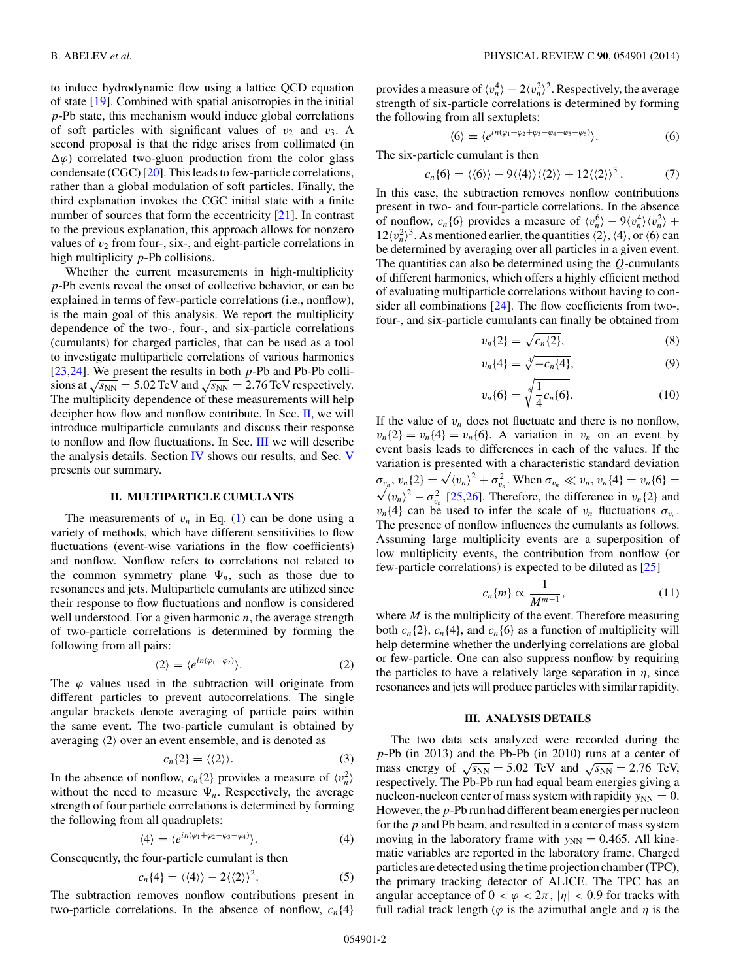<span id="page-1-0"></span>to induce hydrodynamic flow using a lattice QCD equation of state [\[19\]](#page-10-0). Combined with spatial anisotropies in the initial p-Pb state, this mechanism would induce global correlations of soft particles with significant values of  $v_2$  and  $v_3$ . A second proposal is that the ridge arises from collimated (in  $\Delta\varphi$ ) correlated two-gluon production from the color glass condensate (CGC) [\[20\]](#page-10-0). This leads to few-particle correlations, rather than a global modulation of soft particles. Finally, the third explanation invokes the CGC initial state with a finite number of sources that form the eccentricity [\[21\]](#page-10-0). In contrast to the previous explanation, this approach allows for nonzero values of  $v_2$  from four-, six-, and eight-particle correlations in high multiplicity p-Pb collisions.

Whether the current measurements in high-multiplicity p-Pb events reveal the onset of collective behavior, or can be explained in terms of few-particle correlations (i.e., nonflow), is the main goal of this analysis. We report the multiplicity dependence of the two-, four-, and six-particle correlations (cumulants) for charged particles, that can be used as a tool to investigate multiparticle correlations of various harmonics  $[23,24]$ . We present the results in both  $p$ -Pb and Pb-Pb collisions at  $\sqrt{s_{NN}}$  = 5.02 TeV and  $\sqrt{s_{NN}}$  = 2.76 TeV respectively. The multiplicity dependence of these measurements will help decipher how flow and nonflow contribute. In Sec.  $II$ , we will introduce multiparticle cumulants and discuss their response to nonflow and flow fluctuations. In Sec. III we will describe the analysis details. Section [IV](#page-3-0) shows our results, and Sec. [V](#page-8-0) presents our summary.

#### **II. MULTIPARTICLE CUMULANTS**

The measurements of  $v_n$  in Eq. [\(1\)](#page-0-0) can be done using a variety of methods, which have different sensitivities to flow fluctuations (event-wise variations in the flow coefficients) and nonflow. Nonflow refers to correlations not related to the common symmetry plane  $\Psi_n$ , such as those due to resonances and jets. Multiparticle cumulants are utilized since their response to flow fluctuations and nonflow is considered well understood. For a given harmonic  $n$ , the average strength of two-particle correlations is determined by forming the following from all pairs:

$$
\langle 2 \rangle = \langle e^{in(\varphi_1 - \varphi_2)} \rangle.
$$
 (2)

The  $\varphi$  values used in the subtraction will originate from different particles to prevent autocorrelations. The single angular brackets denote averaging of particle pairs within the same event. The two-particle cumulant is obtained by averaging  $\langle 2 \rangle$  over an event ensemble, and is denoted as

$$
c_n\{2\} = \langle\langle 2\rangle\rangle.
$$
 (3)

In the absence of nonflow,  $c_n$ {2} provides a measure of  $\langle v_n^2 \rangle$ without the need to measure  $\Psi_n$ . Respectively, the average strength of four particle correlations is determined by forming the following from all quadruplets:

$$
\langle 4 \rangle = \langle e^{in(\varphi_1 + \varphi_2 - \varphi_3 - \varphi_4)} \rangle. \tag{4}
$$

Consequently, the four-particle cumulant is then

$$
c_n\{4\} = \langle \langle 4 \rangle \rangle - 2 \langle \langle 2 \rangle \rangle^2. \tag{5}
$$

The subtraction removes nonflow contributions present in two-particle correlations. In the absence of nonflow,  $c_n\{4\}$ 

provides a measure of  $\langle v_n^4 \rangle - 2 \langle v_n^2 \rangle^2$ . Respectively, the average strength of six-particle correlations is determined by forming the following from all sextuplets:

$$
\langle 6 \rangle = \langle e^{in(\varphi_1 + \varphi_2 + \varphi_3 - \varphi_4 - \varphi_5 - \varphi_6)} \rangle. \tag{6}
$$

The six-particle cumulant is then

$$
c_n\{6\} = \langle \langle 6 \rangle \rangle - 9 \langle \langle 4 \rangle \rangle \langle \langle 2 \rangle \rangle + 12 \langle \langle 2 \rangle \rangle^3. \tag{7}
$$

In this case, the subtraction removes nonflow contributions present in two- and four-particle correlations. In the absence of nonflow,  $c_n\{6\}$  provides a measure of  $\langle v_n^6 \rangle - 9 \langle v_n^4 \rangle \langle v_n^2 \rangle +$  $12\langle v_n^2 \rangle^3$ . As mentioned earlier, the quantities  $\langle 2 \rangle$ ,  $\langle 4 \rangle$ , or  $\langle 6 \rangle$  can be determined by averaging over all particles in a given event. The quantities can also be determined using the  $Q$ -cumulants of different harmonics, which offers a highly efficient method of evaluating multiparticle correlations without having to consider all combinations [\[24\]](#page-10-0). The flow coefficients from two-, four-, and six-particle cumulants can finally be obtained from

$$
v_n\{2\} = \sqrt{c_n\{2\}},\tag{8}
$$

$$
v_n\{4\} = \sqrt[4]{-c_n\{4\}},\tag{9}
$$

$$
v_n\{6\} = \sqrt[6]{\frac{1}{4}c_n\{6\}}.
$$
 (10)

If the value of  $v_n$  does not fluctuate and there is no nonflow,  $v_n{2} = v_n{4} = v_n{6}$ . A variation in  $v_n$  on an event by event basis leads to differences in each of the values. If the variation is presented with a characteristic standard deviation  $\sigma_{v_n}$ ,  $v_n\{2\} = \sqrt{\langle v_n \rangle^2 + \sigma_{v_n}^2}$ . When  $\sigma_{v_n} \ll v_n$ ,  $v_n\{4\} = v_n\{6\} =$  $\sqrt{\langle v_n \rangle^2 - \sigma_{v_n}^2}$  [\[25,26\]](#page-10-0). Therefore, the difference in  $v_n$  [2] and  $v_n$ {4} can be used to infer the scale of  $v_n$  fluctuations  $\sigma_{v_n}$ . The presence of nonflow influences the cumulants as follows. Assuming large multiplicity events are a superposition of low multiplicity events, the contribution from nonflow (or few-particle correlations) is expected to be diluted as [\[25\]](#page-10-0)

$$
c_n\{m\} \propto \frac{1}{M^{m-1}},\tag{11}
$$

where  $M$  is the multiplicity of the event. Therefore measuring both  $c_n{2}$ ,  $c_n{4}$ , and  $c_n{6}$  as a function of multiplicity will help determine whether the underlying correlations are global or few-particle. One can also suppress nonflow by requiring the particles to have a relatively large separation in  $\eta$ , since resonances and jets will produce particles with similar rapidity.

#### **III. ANALYSIS DETAILS**

The two data sets analyzed were recorded during the p-Pb (in 2013) and the Pb-Pb (in 2010) runs at a center of mass energy of  $\sqrt{s_{NN}} = 5.02$  TeV and  $\sqrt{s_{NN}} = 2.76$  TeV, respectively. The Pb-Pb run had equal beam energies giving a nucleon-nucleon center of mass system with rapidity  $y_{NN} = 0$ . However, the p-Pb run had different beam energies per nucleon for the p and Pb beam, and resulted in a center of mass system moving in the laboratory frame with  $y_{NN} = 0.465$ . All kinematic variables are reported in the laboratory frame. Charged particles are detected using the time projection chamber (TPC), the primary tracking detector of ALICE. The TPC has an angular acceptance of  $0 < \varphi < 2\pi$ ,  $|\eta| < 0.9$  for tracks with full radial track length ( $\varphi$  is the azimuthal angle and  $\eta$  is the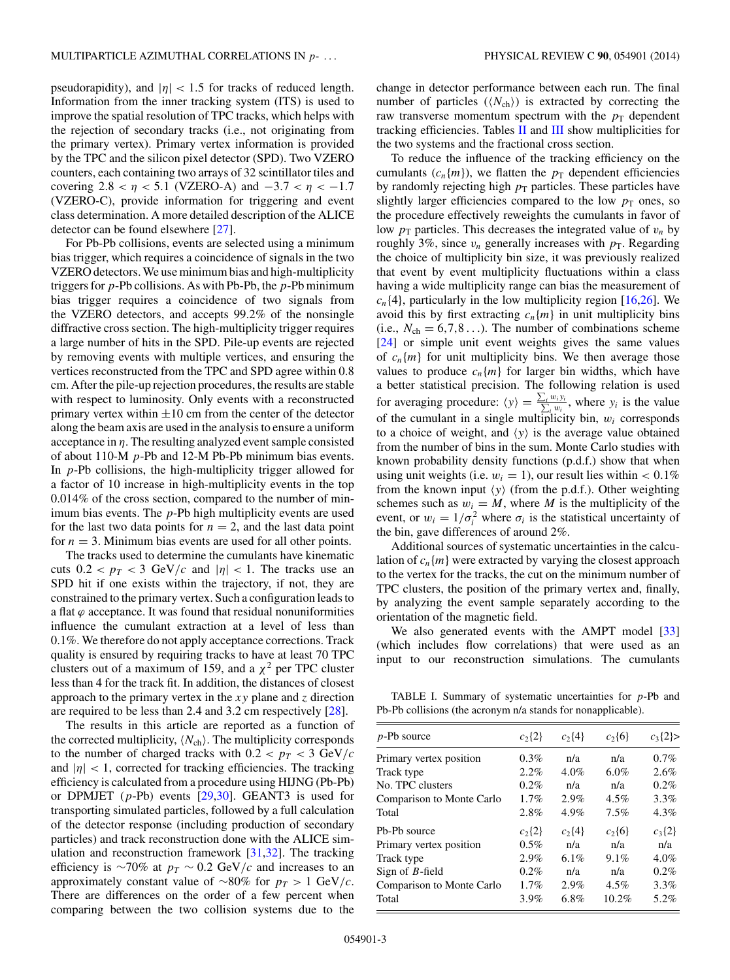<span id="page-2-0"></span>pseudorapidity), and  $|\eta|$  < 1.5 for tracks of reduced length. Information from the inner tracking system (ITS) is used to improve the spatial resolution of TPC tracks, which helps with the rejection of secondary tracks (i.e., not originating from the primary vertex). Primary vertex information is provided by the TPC and the silicon pixel detector (SPD). Two VZERO counters, each containing two arrays of 32 scintillator tiles and covering  $2.8 < \eta < 5.1$  (VZERO-A) and  $-3.7 < \eta < -1.7$ (VZERO-C), provide information for triggering and event class determination. A more detailed description of the ALICE detector can be found elsewhere [\[27\]](#page-10-0).

For Pb-Pb collisions, events are selected using a minimum bias trigger, which requires a coincidence of signals in the two VZERO detectors.We use minimum bias and high-multiplicity triggers for  $p$ -Pb collisions. As with Pb-Pb, the  $p$ -Pb minimum bias trigger requires a coincidence of two signals from the VZERO detectors, and accepts 99.2% of the nonsingle diffractive cross section. The high-multiplicity trigger requires a large number of hits in the SPD. Pile-up events are rejected by removing events with multiple vertices, and ensuring the vertices reconstructed from the TPC and SPD agree within 0.8 cm. After the pile-up rejection procedures, the results are stable with respect to luminosity. Only events with a reconstructed primary vertex within  $\pm 10$  cm from the center of the detector along the beam axis are used in the analysis to ensure a uniform acceptance in  $\eta$ . The resulting analyzed event sample consisted of about 110-M  $p$ -Pb and 12-M Pb-Pb minimum bias events. In  $p$ -Pb collisions, the high-multiplicity trigger allowed for a factor of 10 increase in high-multiplicity events in the top 0.014% of the cross section, compared to the number of minimum bias events. The p-Pb high multiplicity events are used for the last two data points for  $n = 2$ , and the last data point for  $n = 3$ . Minimum bias events are used for all other points.

The tracks used to determine the cumulants have kinematic cuts  $0.2 < p_T < 3$  GeV/c and  $|\eta| < 1$ . The tracks use an SPD hit if one exists within the trajectory, if not, they are constrained to the primary vertex. Such a configuration leads to a flat  $\varphi$  acceptance. It was found that residual nonuniformities influence the cumulant extraction at a level of less than 0.1%. We therefore do not apply acceptance corrections. Track quality is ensured by requiring tracks to have at least 70 TPC clusters out of a maximum of 159, and a  $\chi^2$  per TPC cluster less than 4 for the track fit. In addition, the distances of closest approach to the primary vertex in the  $xy$  plane and z direction are required to be less than 2.4 and 3.2 cm respectively  $[28]$ .

The results in this article are reported as a function of the corrected multiplicity,  $\langle N_{ch} \rangle$ . The multiplicity corresponds to the number of charged tracks with  $0.2 < p_T < 3$  GeV/c and  $|\eta|$  < 1, corrected for tracking efficiencies. The tracking efficiency is calculated from a procedure using HIJNG (Pb-Pb) or DPMJET  $(p-Pb)$  events  $[29,30]$ . GEANT3 is used for transporting simulated particles, followed by a full calculation of the detector response (including production of secondary particles) and track reconstruction done with the ALICE simulation and reconstruction framework [\[31,32\]](#page-10-0). The tracking efficiency is ∼70% at  $p_T \sim 0.2$  GeV/c and increases to an approximately constant value of ∼80% for  $p_T > 1$  GeV/c. There are differences on the order of a few percent when comparing between the two collision systems due to the

change in detector performance between each run. The final number of particles  $(\langle N_{\text{ch}} \rangle)$  is extracted by correcting the raw transverse momentum spectrum with the  $p_T$  dependent tracking efficiencies. Tables [II](#page-9-0) and [III](#page-9-0) show multiplicities for the two systems and the fractional cross section.

To reduce the influence of the tracking efficiency on the cumulants  $(c_n{m})$ , we flatten the  $p_T$  dependent efficiencies by randomly rejecting high  $p<sub>T</sub>$  particles. These particles have slightly larger efficiencies compared to the low  $p<sub>T</sub>$  ones, so the procedure effectively reweights the cumulants in favor of low  $p_T$  particles. This decreases the integrated value of  $v_n$  by roughly 3%, since  $v_n$  generally increases with  $p_T$ . Regarding the choice of multiplicity bin size, it was previously realized that event by event multiplicity fluctuations within a class having a wide multiplicity range can bias the measurement of  $c_n$ {4}, particularly in the low multiplicity region [\[16,26\]](#page-10-0). We avoid this by first extracting  $c_n{m}$  in unit multiplicity bins (i.e.,  $N_{ch} = 6.7, 8...$ ). The number of combinations scheme [\[24\]](#page-10-0) or simple unit event weights gives the same values of  $c_n{m}$  for unit multiplicity bins. We then average those values to produce  $c_n{m}$  for larger bin widths, which have a better statistical precision. The following relation is used for averaging procedure:  $\langle y \rangle = \frac{\sum_i w_i y_i}{\sum_i w_i}$ , where  $y_i$  is the value of the cumulant in a single multiplicity bin,  $w_i$  corresponds to a choice of weight, and  $\langle y \rangle$  is the average value obtained from the number of bins in the sum. Monte Carlo studies with known probability density functions (p.d.f.) show that when using unit weights (i.e.  $w_i = 1$ ), our result lies within < 0.1% from the known input  $\langle y \rangle$  (from the p.d.f.). Other weighting schemes such as  $w_i = M$ , where M is the multiplicity of the event, or  $w_i = 1/\sigma_i^2$  where  $\sigma_i$  is the statistical uncertainty of the bin, gave differences of around 2%.

Additional sources of systematic uncertainties in the calculation of  $c_n{m}$  were extracted by varying the closest approach to the vertex for the tracks, the cut on the minimum number of TPC clusters, the position of the primary vertex and, finally, by analyzing the event sample separately according to the orientation of the magnetic field.

We also generated events with the AMPT model [\[33\]](#page-10-0) (which includes flow correlations) that were used as an input to our reconstruction simulations. The cumulants

TABLE I. Summary of systematic uncertainties for  $p$ -Pb and Pb-Pb collisions (the acronym n/a stands for nonapplicable).

| $p$ -Pb source                        | $c_2$ {2}  | $c_2\{4\}$ | $c_2\{6\}$ | $c_3$ {2}> |
|---------------------------------------|------------|------------|------------|------------|
| Primary vertex position               | 0.3%       | n/a        | n/a        | 0.7%       |
| Track type                            | 2.2%       | $4.0\%$    | 6.0%       | 2.6%       |
| No. TPC clusters                      | 0.2%       | n/a        | n/a        | 0.2%       |
| Comparison to Monte Carlo             | 1.7%       | 2.9%       | $4.5\%$    | 3.3%       |
| Total                                 | 2.8%       | 4.9%       | 7.5%       | 4.3%       |
| P <sub>b</sub> -P <sub>b</sub> source | $c_2\{2\}$ | $c_2$ {4}  | $c_2\{6\}$ | $c_3\{2\}$ |
| Primary vertex position               | $0.5\%$    | n/a        | n/a        | n/a        |
| Track type                            | 2.9%       | 6.1%       | 9.1%       | 4.0%       |
| Sign of $B$ -field                    | 0.2%       | n/a        | n/a        | 0.2%       |
| Comparison to Monte Carlo             | 1.7%       | 2.9%       | $4.5\%$    | 3.3%       |
| Total                                 | 3.9%       | $6.8\%$    | 10.2%      | 5.2%       |
|                                       |            |            |            |            |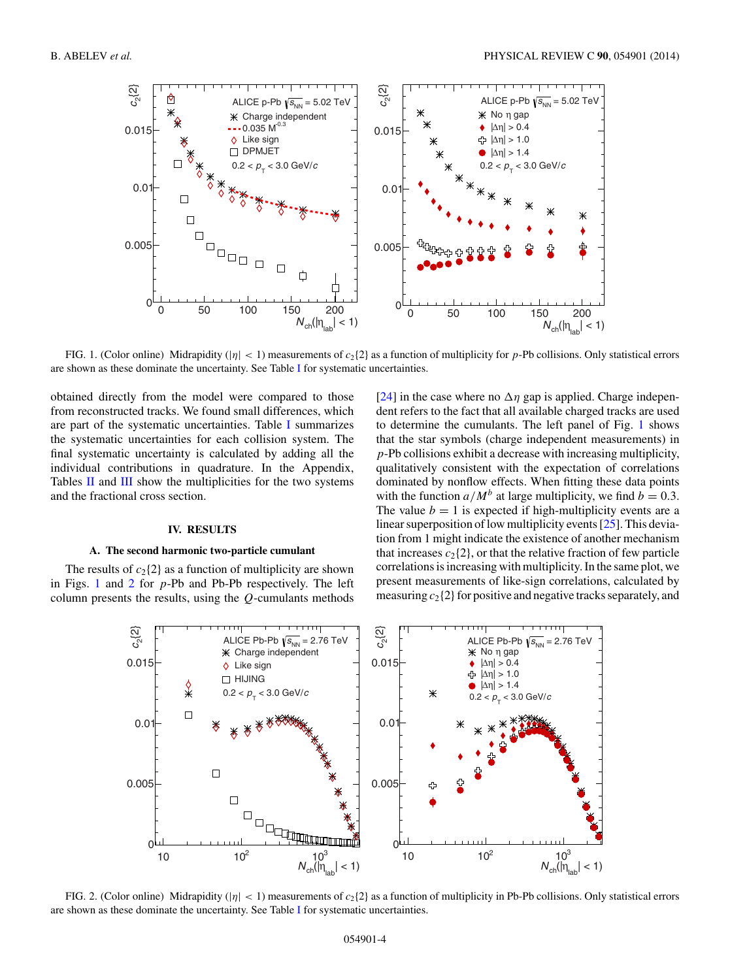<span id="page-3-0"></span>

FIG. 1. (Color online) Midrapidity ( $|\eta| < 1$ ) measurements of  $c_2$ {2} as a function of multiplicity for p-Pb collisions. Only statistical errors are shown as these dominate the uncertainty. See Table [I](#page-2-0) for systematic uncertainties.

obtained directly from the model were compared to those from reconstructed tracks. We found small differences, which are part of the systematic uncertainties. Table [I](#page-2-0) summarizes the systematic uncertainties for each collision system. The final systematic uncertainty is calculated by adding all the individual contributions in quadrature. In the Appendix, Tables [II](#page-9-0) and [III](#page-9-0) show the multiplicities for the two systems and the fractional cross section.

#### **IV. RESULTS**

#### **A. The second harmonic two-particle cumulant**

The results of  $c_2$ {2} as a function of multiplicity are shown in Figs. 1 and 2 for  $p$ -Pb and Pb-Pb respectively. The left column presents the results, using the  $Q$ -cumulants methods

[\[24\]](#page-10-0) in the case where no  $\Delta \eta$  gap is applied. Charge independent refers to the fact that all available charged tracks are used to determine the cumulants. The left panel of Fig. 1 shows that the star symbols (charge independent measurements) in p-Pb collisions exhibit a decrease with increasing multiplicity, qualitatively consistent with the expectation of correlations dominated by nonflow effects. When fitting these data points with the function  $a/M^b$  at large multiplicity, we find  $b = 0.3$ . The value  $b = 1$  is expected if high-multiplicity events are a linear superposition of low multiplicity events [\[25\]](#page-10-0). This deviation from 1 might indicate the existence of another mechanism that increases  $c_2$ {2}, or that the relative fraction of few particle correlations is increasing with multiplicity. In the same plot, we present measurements of like-sign correlations, calculated by measuring  $c_2$ {2} for positive and negative tracks separately, and



FIG. 2. (Color online) Midrapidity ( $|\eta| < 1$ ) measurements of  $c_2$ {2} as a function of multiplicity in Pb-Pb collisions. Only statistical errors are shown as these dominate the uncertainty. See Table [I](#page-2-0) for systematic uncertainties.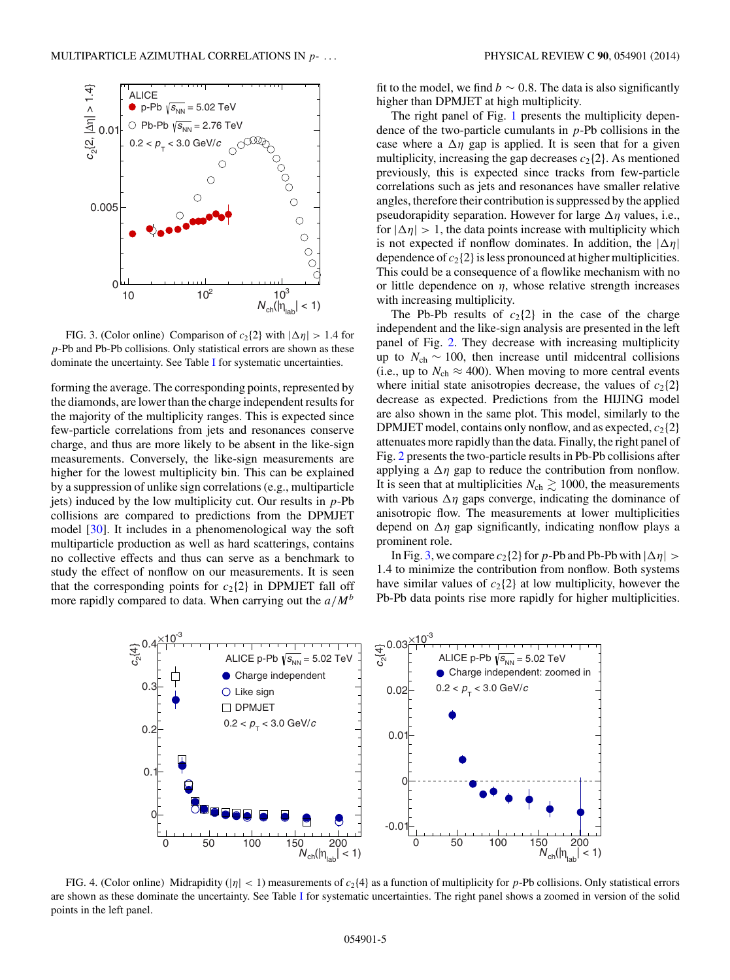<span id="page-4-0"></span>

 $N_{\text{ch}}(|\eta_{\text{lab}}| < 1)$ 

FIG. 3. (Color online) Comparison of  $c_2$ {2} with  $|\Delta \eta| > 1.4$  for p-Pb and Pb-Pb collisions. Only statistical errors are shown as these dominate the uncertainty. See Table [I](#page-2-0) for systematic uncertainties.

10  $10^2$   $10^3$ 

 $\Omega$ 

forming the average. The corresponding points, represented by the diamonds, are lower than the charge independent results for the majority of the multiplicity ranges. This is expected since few-particle correlations from jets and resonances conserve charge, and thus are more likely to be absent in the like-sign measurements. Conversely, the like-sign measurements are higher for the lowest multiplicity bin. This can be explained by a suppression of unlike sign correlations (e.g., multiparticle jets) induced by the low multiplicity cut. Our results in  $p$ -Pb collisions are compared to predictions from the DPMJET model [\[30\]](#page-10-0). It includes in a phenomenological way the soft multiparticle production as well as hard scatterings, contains no collective effects and thus can serve as a benchmark to study the effect of nonflow on our measurements. It is seen that the corresponding points for  $c_2$ {2} in DPMJET fall off more rapidly compared to data. When carrying out the  $a/M<sup>b</sup>$ 

fit to the model, we find  $b \sim 0.8$ . The data is also significantly higher than DPMJET at high multiplicity.

The right panel of Fig. [1](#page-3-0) presents the multiplicity dependence of the two-particle cumulants in  $p$ -Pb collisions in the case where a  $\Delta \eta$  gap is applied. It is seen that for a given multiplicity, increasing the gap decreases  $c_2$ {2}. As mentioned previously, this is expected since tracks from few-particle correlations such as jets and resonances have smaller relative angles, therefore their contribution is suppressed by the applied pseudorapidity separation. However for large  $\Delta \eta$  values, i.e., for  $|\Delta \eta| > 1$ , the data points increase with multiplicity which is not expected if nonflow dominates. In addition, the  $|\Delta \eta|$ dependence of  $c_2$  {2} is less pronounced at higher multiplicities. This could be a consequence of a flowlike mechanism with no or little dependence on  $\eta$ , whose relative strength increases with increasing multiplicity.

The Pb-Pb results of  $c_2$ {2} in the case of the charge independent and the like-sign analysis are presented in the left panel of Fig. [2.](#page-3-0) They decrease with increasing multiplicity up to  $N_{ch} \sim 100$ , then increase until midcentral collisions (i.e., up to  $N_{ch} \approx 400$ ). When moving to more central events where initial state anisotropies decrease, the values of  $c_2$ {2} decrease as expected. Predictions from the HIJING model are also shown in the same plot. This model, similarly to the DPMJET model, contains only nonflow, and as expected,  $c_2$ {2} attenuates more rapidly than the data. Finally, the right panel of Fig. [2](#page-3-0) presents the two-particle results in Pb-Pb collisions after applying a  $\Delta \eta$  gap to reduce the contribution from nonflow. It is seen that at multiplicities  $N_{ch} \gtrsim 1000$ , the measurements with various  $\Delta \eta$  gaps converge, indicating the dominance of anisotropic flow. The measurements at lower multiplicities depend on  $\Delta \eta$  gap significantly, indicating nonflow plays a prominent role.

In Fig. 3, we compare  $c_2$  {2} for p-Pb and Pb-Pb with  $|\Delta \eta| >$ 1.4 to minimize the contribution from nonflow. Both systems have similar values of  $c_2$ {2} at low multiplicity, however the Pb-Pb data points rise more rapidly for higher multiplicities.



FIG. 4. (Color online) Midrapidity ( $|\eta| < 1$ ) measurements of  $c_2$ {4} as a function of multiplicity for p-Pb collisions. Only statistical errors are shown as these dominate the uncertainty. See Table [I](#page-2-0) for systematic uncertainties. The right panel shows a zoomed in version of the solid points in the left panel.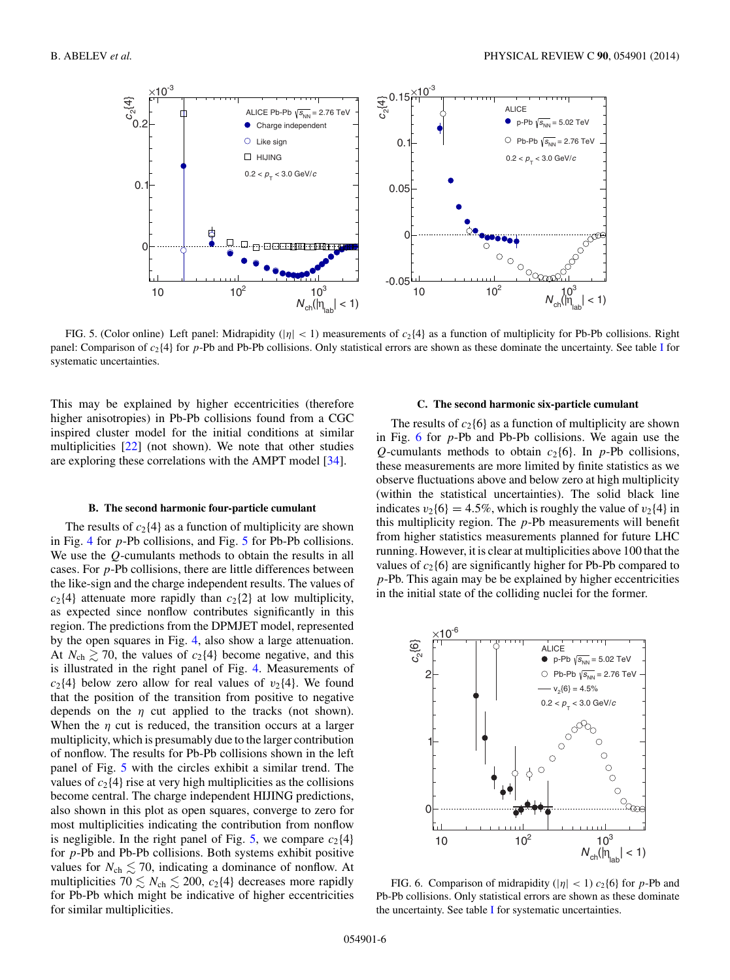

FIG. 5. (Color online) Left panel: Midrapidity ( $|\eta| < 1$ ) measurements of  $c_2$ {4} as a function of multiplicity for Pb-Pb collisions. Right panel: Comparison of  $c_2$ {4} for p-Pb and Pb-Pb collisions. Only statistical errors are shown as these dominate the uncertainty. See table [I](#page-2-0) for systematic uncertainties.

This may be explained by higher eccentricities (therefore higher anisotropies) in Pb-Pb collisions found from a CGC inspired cluster model for the initial conditions at similar multiplicities [\[22\]](#page-10-0) (not shown). We note that other studies are exploring these correlations with the AMPT model [\[34\]](#page-10-0).

#### **B. The second harmonic four-particle cumulant**

The results of  $c_2$ {4} as a function of multiplicity are shown in Fig. [4](#page-4-0) for p-Pb collisions, and Fig. 5 for Pb-Pb collisions. We use the Q-cumulants methods to obtain the results in all cases. For  $p$ -Pb collisions, there are little differences between the like-sign and the charge independent results. The values of  $c_2$ {4} attenuate more rapidly than  $c_2$ {2} at low multiplicity, as expected since nonflow contributes significantly in this region. The predictions from the DPMJET model, represented by the open squares in Fig. [4,](#page-4-0) also show a large attenuation. At  $N_{ch} \gtrsim 70$ , the values of  $c_2$ {4} become negative, and this is illustrated in the right panel of Fig. [4.](#page-4-0) Measurements of  $c_2$ {4} below zero allow for real values of  $v_2$ {4}. We found that the position of the transition from positive to negative depends on the  $\eta$  cut applied to the tracks (not shown). When the  $\eta$  cut is reduced, the transition occurs at a larger multiplicity, which is presumably due to the larger contribution of nonflow. The results for Pb-Pb collisions shown in the left panel of Fig. 5 with the circles exhibit a similar trend. The values of  $c_2$ {4} rise at very high multiplicities as the collisions become central. The charge independent HIJING predictions, also shown in this plot as open squares, converge to zero for most multiplicities indicating the contribution from nonflow is negligible. In the right panel of Fig. 5, we compare  $c_2$ {4} for p-Pb and Pb-Pb collisions. Both systems exhibit positive values for  $N_{ch} \lesssim 70$ , indicating a dominance of nonflow. At multiplicities 70  $\leq N_{ch} \leq 200$ ,  $c_2$ {4} decreases more rapidly for Pb-Pb which might be indicative of higher eccentricities for similar multiplicities.

## **C. The second harmonic six-particle cumulant**

The results of  $c_2$ {6} as a function of multiplicity are shown in Fig. 6 for p-Pb and Pb-Pb collisions. We again use the Q-cumulants methods to obtain  $c_2\{6\}$ . In p-Pb collisions, these measurements are more limited by finite statistics as we observe fluctuations above and below zero at high multiplicity (within the statistical uncertainties). The solid black line indicates  $v_2{6} = 4.5\%$ , which is roughly the value of  $v_2{4}$  in this multiplicity region. The  $p$ -Pb measurements will benefit from higher statistics measurements planned for future LHC running. However, it is clear at multiplicities above 100 that the values of  $c_2$ {6} are significantly higher for Pb-Pb compared to p-Pb. This again may be be explained by higher eccentricities in the initial state of the colliding nuclei for the former.



FIG. 6. Comparison of midrapidity ( $|\eta|$  < 1)  $c_2$ {6} for p-Pb and Pb-Pb collisions. Only statistical errors are shown as these dominate the uncertainty. See table [I](#page-2-0) for systematic uncertainties.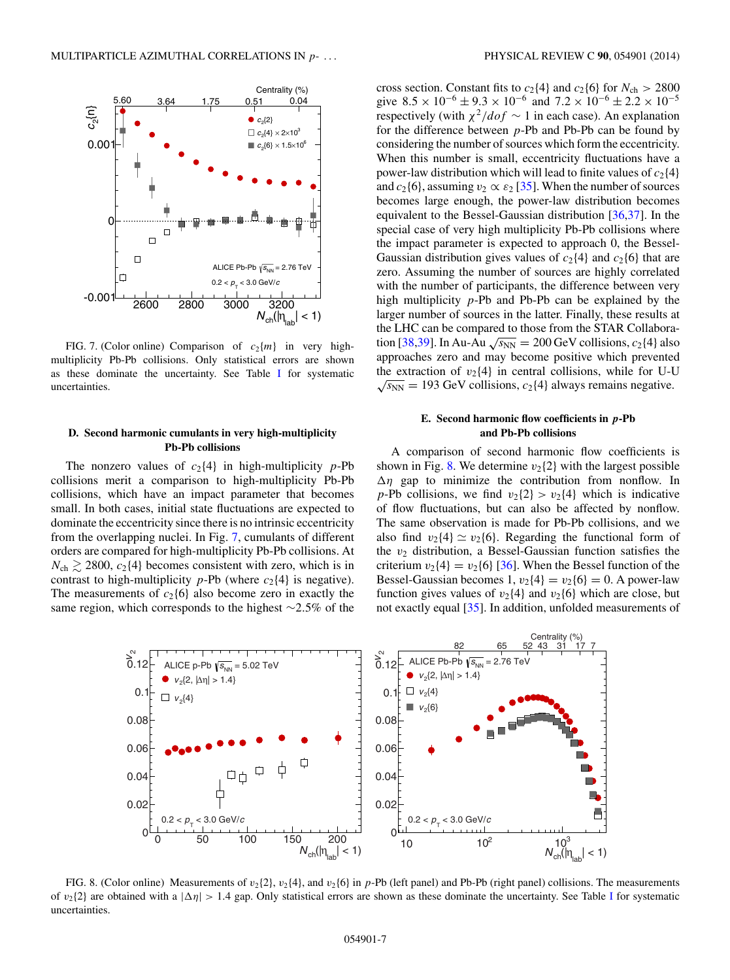

FIG. 7. (Color online) Comparison of  $c_2{m}$  in very highmultiplicity Pb-Pb collisions. Only statistical errors are shown as these dominate the uncertainty. See Table [I](#page-2-0) for systematic uncertainties.

## **D. Second harmonic cumulants in very high-multiplicity Pb-Pb collisions**

The nonzero values of  $c_2$ {4} in high-multiplicity p-Pb collisions merit a comparison to high-multiplicity Pb-Pb collisions, which have an impact parameter that becomes small. In both cases, initial state fluctuations are expected to dominate the eccentricity since there is no intrinsic eccentricity from the overlapping nuclei. In Fig. 7, cumulants of different orders are compared for high-multiplicity Pb-Pb collisions. At  $N_{ch} \gtrsim 2800$ ,  $c_2$ {4} becomes consistent with zero, which is in contrast to high-multiplicity  $p$ -Pb (where  $c_2$ {4} is negative). The measurements of  $c_2{6}$  also become zero in exactly the same region, which corresponds to the highest ∼2.5% of the

cross section. Constant fits to  $c_2$ {4} and  $c_2$ {6} for  $N_{ch} > 2800$ give  $8.5 \times 10^{-6} \pm 9.3 \times 10^{-6}$  and  $7.2 \times 10^{-6} \pm 2.2 \times 10^{-5}$ respectively (with  $\chi^2/dof \sim 1$  in each case). An explanation for the difference between p-Pb and Pb-Pb can be found by considering the number of sources which form the eccentricity. When this number is small, eccentricity fluctuations have a power-law distribution which will lead to finite values of  $c_2$ {4} and  $c_2\{6\}$ , assuming  $v_2 \propto \varepsilon_2$  [\[35\]](#page-10-0). When the number of sources becomes large enough, the power-law distribution becomes equivalent to the Bessel-Gaussian distribution [\[36,37\]](#page-10-0). In the special case of very high multiplicity Pb-Pb collisions where the impact parameter is expected to approach 0, the Bessel-Gaussian distribution gives values of  $c_2$ {4} and  $c_2$ {6} that are zero. Assuming the number of sources are highly correlated with the number of participants, the difference between very high multiplicity p-Pb and Pb-Pb can be explained by the larger number of sources in the latter. Finally, these results at the LHC can be compared to those from the STAR Collabora-tion [\[38,39\]](#page-10-0). In Au-Au  $\sqrt{s_{NN}}$  = 200 GeV collisions,  $c_2$ {4} also approaches zero and may become positive which prevented the extraction of  $v_2$ {4} in central collisions, while for U-U  $\sqrt{s_{NN}}$  = 193 GeV collisions,  $c_2$ {4} always remains negative.

## **E. Second harmonic flow coefficients in** *p***-Pb and Pb-Pb collisions**

A comparison of second harmonic flow coefficients is shown in Fig. 8. We determine  $v_2$ {2} with the largest possible  $\Delta \eta$  gap to minimize the contribution from nonflow. In p-Pb collisions, we find  $v_2\{2\} > v_2\{4\}$  which is indicative of flow fluctuations, but can also be affected by nonflow. The same observation is made for Pb-Pb collisions, and we also find  $v_2{4} \simeq v_2{6}$ . Regarding the functional form of the  $v_2$  distribution, a Bessel-Gaussian function satisfies the criterium  $v_2$ {4} =  $v_2$ {6} [\[36\]](#page-10-0). When the Bessel function of the Bessel-Gaussian becomes 1,  $v_2{4} = v_2{6} = 0$ . A power-law function gives values of  $v_2{4}$  and  $v_2{6}$  which are close, but not exactly equal [\[35\]](#page-10-0). In addition, unfolded measurements of



FIG. 8. (Color online) Measurements of  $v_2{2}$ ,  $v_2{4}$ , and  $v_2{6}$  in p-Pb (left panel) and Pb-Pb (right panel) collisions. The measurements of  $v_2$ {2} are obtained with a  $|\Delta \eta| > 1.4$  gap. Only statistical errors are shown as these dominate the uncertainty. See Table [I](#page-2-0) for systematic uncertainties.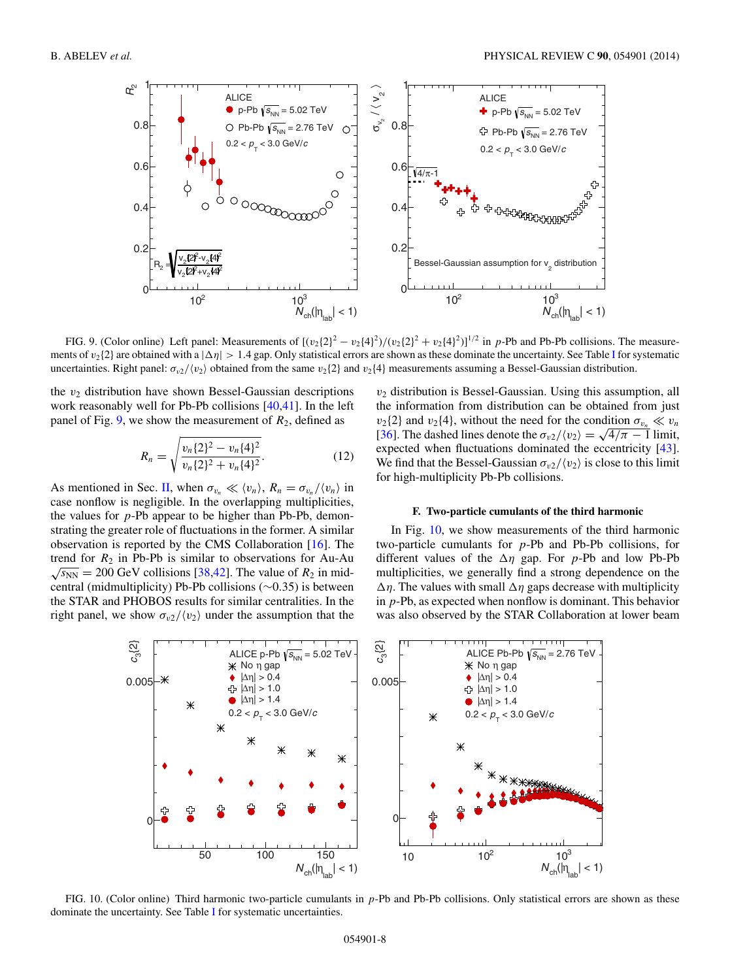

FIG. 9. (Color online) Left panel: Measurements of  $[(v_2{2}]^2 - v_2{4}]^2/(v_2{2}]^2 + v_2{4}]^2$  in p-Pb and Pb-Pb collisions. The measurements of  $v_2$  are obtained with a  $|\Delta \eta| > 1.4$  gap. Only statistical errors are shown as these dominate the uncertainty. See Table [I](#page-2-0) for systematic uncertainties. Right panel:  $\sigma_{v2}/\langle v_2 \rangle$  obtained from the same  $v_2$  {2} and  $v_2$  {4} measurements assuming a Bessel-Gaussian distribution.

the  $v_2$  distribution have shown Bessel-Gaussian descriptions work reasonably well for Pb-Pb collisions [\[40,41\]](#page-10-0). In the left panel of Fig. 9, we show the measurement of  $R_2$ , defined as

$$
R_n = \sqrt{\frac{v_n \{2\}^2 - v_n \{4\}^2}{v_n \{2\}^2 + v_n \{4\}^2}}.
$$
 (12)

As mentioned in Sec. [II,](#page-1-0) when  $\sigma_{v_n} \ll \langle v_n \rangle$ ,  $R_n = \sigma_{v_n} / \langle v_n \rangle$  in case nonflow is negligible. In the overlapping multiplicities, the values for  $p$ -Pb appear to be higher than Pb-Pb, demonstrating the greater role of fluctuations in the former. A similar observation is reported by the CMS Collaboration [\[16\]](#page-10-0). The trend for  $R_2$  in Pb-Pb is similar to observations for Au-Au  $\sqrt{s_{NN}}$  = 200 GeV collisions [\[38,42\]](#page-10-0). The value of  $R_2$  in midcentral (midmultiplicity) Pb-Pb collisions (∼0.35) is between the STAR and PHOBOS results for similar centralities. In the right panel, we show  $\sigma_{v2}/\langle v_2 \rangle$  under the assumption that the

 $v_2$  distribution is Bessel-Gaussian. Using this assumption, all the information from distribution can be obtained from just  $v_2$ {2} and  $v_2$ {4}, without the need for the condition  $\sigma_{v_n} \ll v_n$  $v_2$ (2) and  $v_2$ (4), without the need for the condition  $\sigma_{v_n} \ll v_n$ <br>[\[36\]](#page-10-0). The dashed lines denote the  $\sigma_{v_2}/\langle v_2 \rangle = \sqrt{4/\pi - 1}$  limit, expected when fluctuations dominated the eccentricity [\[43\]](#page-10-0). We find that the Bessel-Gaussian  $\sigma_{v2}/\langle v_2 \rangle$  is close to this limit for high-multiplicity Pb-Pb collisions.

#### **F. Two-particle cumulants of the third harmonic**

In Fig. 10, we show measurements of the third harmonic two-particle cumulants for  $p$ -Pb and Pb-Pb collisions, for different values of the  $\Delta \eta$  gap. For p-Pb and low Pb-Pb multiplicities, we generally find a strong dependence on the  $\Delta \eta$ . The values with small  $\Delta \eta$  gaps decrease with multiplicity in p-Pb, as expected when nonflow is dominant. This behavior was also observed by the STAR Collaboration at lower beam



FIG. 10. (Color online) Third harmonic two-particle cumulants in p-Pb and Pb-Pb collisions. Only statistical errors are shown as these dominate the uncertainty. See Table [I](#page-2-0) for systematic uncertainties.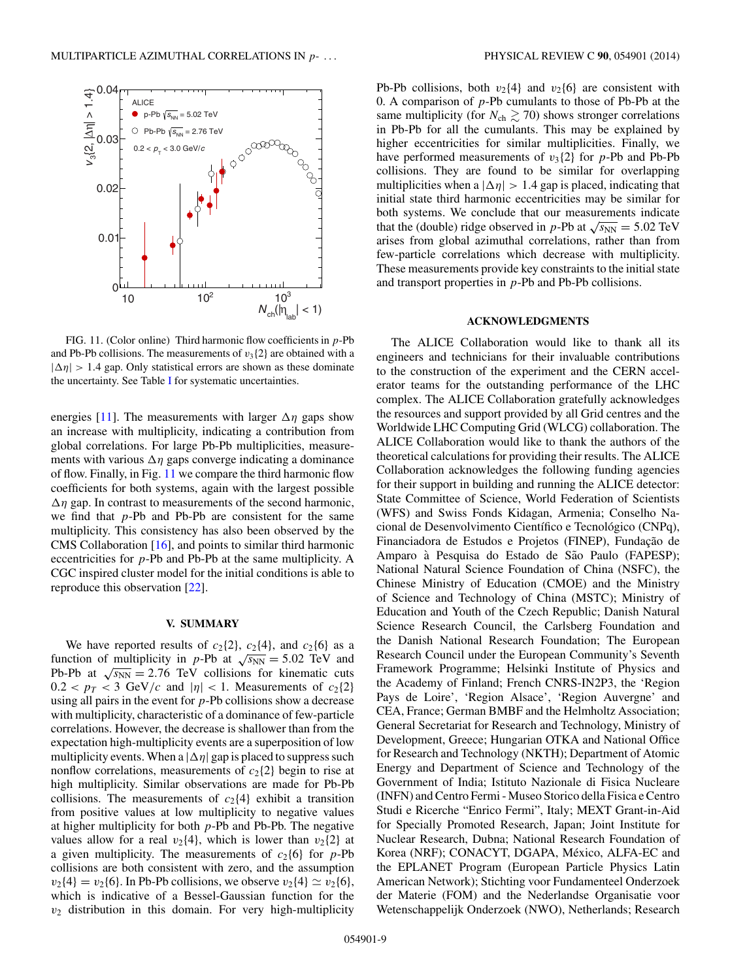<span id="page-8-0"></span>

FIG. 11. (Color online) Third harmonic flow coefficients in  $p$ -Pb and Pb-Pb collisions. The measurements of  $v_3$ {2} are obtained with a  $|\Delta \eta| > 1.4$  gap. Only statistical errors are shown as these dominate the uncertainty. See Table [I](#page-2-0) for systematic uncertainties.

energies [\[11\]](#page-10-0). The measurements with larger  $\Delta \eta$  gaps show an increase with multiplicity, indicating a contribution from global correlations. For large Pb-Pb multiplicities, measurements with various  $\Delta \eta$  gaps converge indicating a dominance of flow. Finally, in Fig. 11 we compare the third harmonic flow coefficients for both systems, again with the largest possible  $\Delta \eta$  gap. In contrast to measurements of the second harmonic, we find that  $p$ -Pb and Pb-Pb are consistent for the same multiplicity. This consistency has also been observed by the CMS Collaboration [\[16\]](#page-10-0), and points to similar third harmonic eccentricities for p-Pb and Pb-Pb at the same multiplicity. A CGC inspired cluster model for the initial conditions is able to reproduce this observation [\[22\]](#page-10-0).

### **V. SUMMARY**

We have reported results of  $c_2{2}$ ,  $c_2{4}$ , and  $c_2{6}$  as a function of multiplicity in p-Pb at  $\sqrt{s_{NN}} = 5.02$  TeV and Pb-Pb at  $\sqrt{s_{NN}}$  = 2.76 TeV collisions for kinematic cuts  $0.2 < p_T < 3$  GeV/c and  $|\eta| < 1$ . Measurements of  $c_2\{2\}$ using all pairs in the event for  $p$ -Pb collisions show a decrease with multiplicity, characteristic of a dominance of few-particle correlations. However, the decrease is shallower than from the expectation high-multiplicity events are a superposition of low multiplicity events. When a  $|\Delta \eta|$  gap is placed to suppress such nonflow correlations, measurements of  $c_2$ {2} begin to rise at high multiplicity. Similar observations are made for Pb-Pb collisions. The measurements of  $c_2$ {4} exhibit a transition from positive values at low multiplicity to negative values at higher multiplicity for both  $p$ -Pb and Pb-Pb. The negative values allow for a real  $v_2{4}$ , which is lower than  $v_2{2}$  at a given multiplicity. The measurements of  $c_2\{6\}$  for p-Pb collisions are both consistent with zero, and the assumption  $v_2{4} = v_2{6}$ . In Pb-Pb collisions, we observe  $v_2{4} \simeq v_2{6}$ , which is indicative of a Bessel-Gaussian function for the  $v_2$  distribution in this domain. For very high-multiplicity

Pb-Pb collisions, both  $v_2$ {4} and  $v_2$ {6} are consistent with 0. A comparison of  $p$ -Pb cumulants to those of Pb-Pb at the same multiplicity (for  $N_{ch} \gtrsim 70$ ) shows stronger correlations in Pb-Pb for all the cumulants. This may be explained by higher eccentricities for similar multiplicities. Finally, we have performed measurements of  $v_3{2}$  for p-Pb and Pb-Pb collisions. They are found to be similar for overlapping multiplicities when a  $|\Delta \eta| > 1.4$  gap is placed, indicating that initial state third harmonic eccentricities may be similar for both systems. We conclude that our measurements indicate that the (double) ridge observed in p-Pb at  $\sqrt{s_{NN}} = 5.02 \text{ TeV}$ arises from global azimuthal correlations, rather than from few-particle correlations which decrease with multiplicity. These measurements provide key constraints to the initial state and transport properties in  $p$ -Pb and Pb-Pb collisions.

## **ACKNOWLEDGMENTS**

The ALICE Collaboration would like to thank all its engineers and technicians for their invaluable contributions to the construction of the experiment and the CERN accelerator teams for the outstanding performance of the LHC complex. The ALICE Collaboration gratefully acknowledges the resources and support provided by all Grid centres and the Worldwide LHC Computing Grid (WLCG) collaboration. The ALICE Collaboration would like to thank the authors of the theoretical calculations for providing their results. The ALICE Collaboration acknowledges the following funding agencies for their support in building and running the ALICE detector: State Committee of Science, World Federation of Scientists (WFS) and Swiss Fonds Kidagan, Armenia; Conselho Nacional de Desenvolvimento Científico e Tecnológico (CNPq), Financiadora de Estudos e Projetos (FINEP), Fundação de Amparo à Pesquisa do Estado de São Paulo (FAPESP); National Natural Science Foundation of China (NSFC), the Chinese Ministry of Education (CMOE) and the Ministry of Science and Technology of China (MSTC); Ministry of Education and Youth of the Czech Republic; Danish Natural Science Research Council, the Carlsberg Foundation and the Danish National Research Foundation; The European Research Council under the European Community's Seventh Framework Programme; Helsinki Institute of Physics and the Academy of Finland; French CNRS-IN2P3, the 'Region Pays de Loire', 'Region Alsace', 'Region Auvergne' and CEA, France; German BMBF and the Helmholtz Association; General Secretariat for Research and Technology, Ministry of Development, Greece; Hungarian OTKA and National Office for Research and Technology (NKTH); Department of Atomic Energy and Department of Science and Technology of the Government of India; Istituto Nazionale di Fisica Nucleare (INFN) and Centro Fermi - Museo Storico della Fisica e Centro Studi e Ricerche "Enrico Fermi", Italy; MEXT Grant-in-Aid for Specially Promoted Research, Japan; Joint Institute for Nuclear Research, Dubna; National Research Foundation of Korea (NRF); CONACYT, DGAPA, México, ALFA-EC and the EPLANET Program (European Particle Physics Latin American Network); Stichting voor Fundamenteel Onderzoek der Materie (FOM) and the Nederlandse Organisatie voor Wetenschappelijk Onderzoek (NWO), Netherlands; Research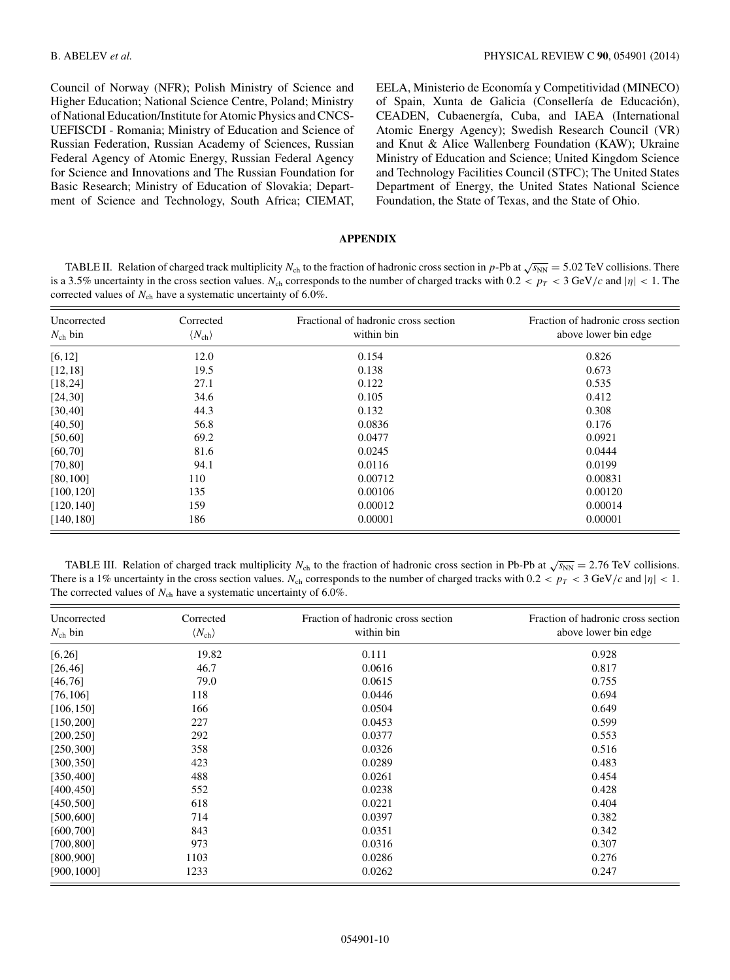<span id="page-9-0"></span>Council of Norway (NFR); Polish Ministry of Science and Higher Education; National Science Centre, Poland; Ministry of National Education/Institute for Atomic Physics and CNCS-UEFISCDI - Romania; Ministry of Education and Science of Russian Federation, Russian Academy of Sciences, Russian Federal Agency of Atomic Energy, Russian Federal Agency for Science and Innovations and The Russian Foundation for Basic Research; Ministry of Education of Slovakia; Department of Science and Technology, South Africa; CIEMAT,

EELA, Ministerio de Economía y Competitividad (MINECO) of Spain, Xunta de Galicia (Consellería de Educación), CEADEN, Cubaenergía, Cuba, and IAEA (International Atomic Energy Agency); Swedish Research Council (VR) and Knut & Alice Wallenberg Foundation (KAW); Ukraine Ministry of Education and Science; United Kingdom Science and Technology Facilities Council (STFC); The United States Department of Energy, the United States National Science Foundation, the State of Texas, and the State of Ohio.

## **APPENDIX**

TABLE II. Relation of charged track multiplicity N<sub>ch</sub> to the fraction of hadronic cross section in p-Pb at  $\sqrt{s_{NN}} = 5.02$  TeV collisions. There is a 3.5% uncertainty in the cross section values. N<sub>ch</sub> corresponds to the number of charged tracks with  $0.2 < p_T < 3$  GeV/c and  $|\eta| < 1$ . The corrected values of  $N_{ch}$  have a systematic uncertainty of 6.0%.

| Uncorrected<br>$N_{\rm ch}$ bin | Corrected<br>$\langle N_{\rm ch} \rangle$ | Fractional of hadronic cross section<br>within bin | Fraction of hadronic cross section<br>above lower bin edge |
|---------------------------------|-------------------------------------------|----------------------------------------------------|------------------------------------------------------------|
| [6, 12]                         | 12.0                                      | 0.154                                              | 0.826                                                      |
| [12, 18]                        | 19.5                                      | 0.138                                              | 0.673                                                      |
| [18, 24]                        | 27.1                                      | 0.122                                              | 0.535                                                      |
| [24, 30]                        | 34.6                                      | 0.105                                              | 0.412                                                      |
| [30, 40]                        | 44.3                                      | 0.132                                              | 0.308                                                      |
| [40, 50]                        | 56.8                                      | 0.0836                                             | 0.176                                                      |
| [50, 60]                        | 69.2                                      | 0.0477                                             | 0.0921                                                     |
| [60, 70]                        | 81.6                                      | 0.0245                                             | 0.0444                                                     |
| [70, 80]                        | 94.1                                      | 0.0116                                             | 0.0199                                                     |
| [80, 100]                       | 110                                       | 0.00712                                            | 0.00831                                                    |
| [100, 120]                      | 135                                       | 0.00106                                            | 0.00120                                                    |
| [120, 140]                      | 159                                       | 0.00012                                            | 0.00014                                                    |
| [140, 180]                      | 186                                       | 0.00001                                            | 0.00001                                                    |

TABLE III. Relation of charged track multiplicity N<sub>ch</sub> to the fraction of hadronic cross section in Pb-Pb at  $\sqrt{s_{NN}} = 2.76$  TeV collisions. There is a 1% uncertainty in the cross section values. N<sub>ch</sub> corresponds to the number of charged tracks with  $0.2 < p_T < 3$  GeV/c and  $|\eta| < 1$ . The corrected values of  $N_{ch}$  have a systematic uncertainty of 6.0%.

| Uncorrected<br>$N_{\rm ch}$ bin | Corrected<br>$\langle N_{\rm ch} \rangle$ | Fraction of hadronic cross section<br>within bin | Fraction of hadronic cross section<br>above lower bin edge |
|---------------------------------|-------------------------------------------|--------------------------------------------------|------------------------------------------------------------|
| [6,26]                          | 19.82                                     | 0.111                                            | 0.928                                                      |
| [26, 46]                        | 46.7                                      | 0.0616                                           | 0.817                                                      |
| [46, 76]                        | 79.0                                      | 0.0615                                           | 0.755                                                      |
| [76, 106]                       | 118                                       | 0.0446                                           | 0.694                                                      |
| [106, 150]                      | 166                                       | 0.0504                                           | 0.649                                                      |
| [150, 200]                      | 227                                       | 0.0453                                           | 0.599                                                      |
| [200, 250]                      | 292                                       | 0.0377                                           | 0.553                                                      |
| [250, 300]                      | 358                                       | 0.0326                                           | 0.516                                                      |
| [300, 350]                      | 423                                       | 0.0289                                           | 0.483                                                      |
| [350, 400]                      | 488                                       | 0.0261                                           | 0.454                                                      |
| [400, 450]                      | 552                                       | 0.0238                                           | 0.428                                                      |
| [450, 500]                      | 618                                       | 0.0221                                           | 0.404                                                      |
| [500, 600]                      | 714                                       | 0.0397                                           | 0.382                                                      |
| [600, 700]                      | 843                                       | 0.0351                                           | 0.342                                                      |
| [700, 800]                      | 973                                       | 0.0316                                           | 0.307                                                      |
| [800, 900]                      | 1103                                      | 0.0286                                           | 0.276                                                      |
| [900,1000]                      | 1233                                      | 0.0262                                           | 0.247                                                      |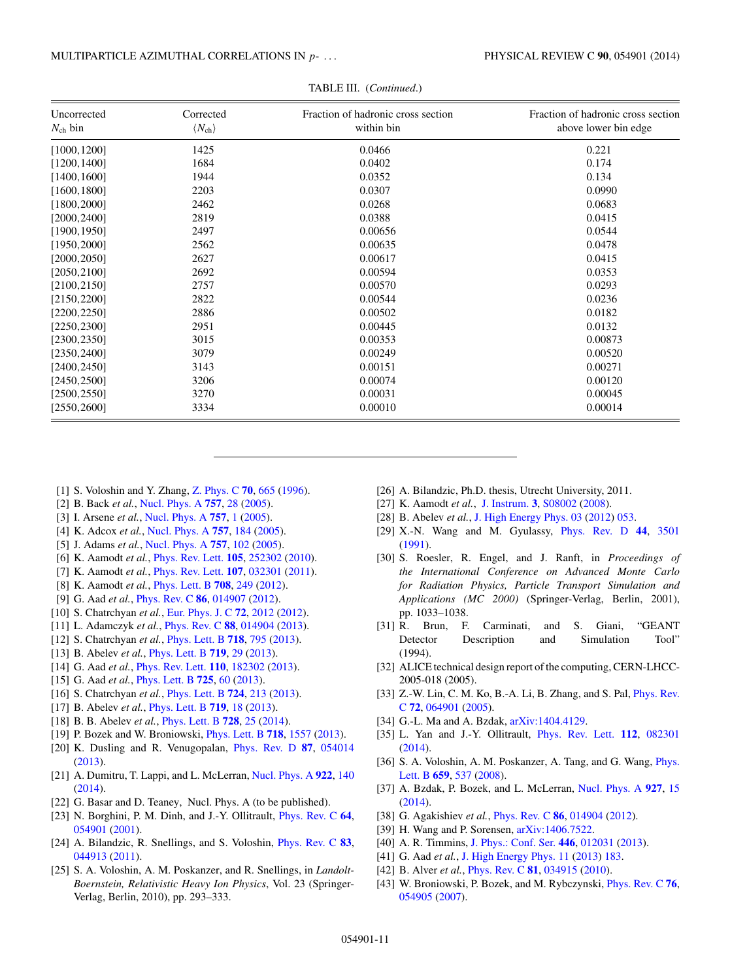<span id="page-10-0"></span>

| Uncorrected<br>$N_{\rm ch}$ bin | Corrected<br>$\langle N_{\rm ch} \rangle$ | Fraction of hadronic cross section<br>within bin | Fraction of hadronic cross section<br>above lower bin edge |
|---------------------------------|-------------------------------------------|--------------------------------------------------|------------------------------------------------------------|
| [1000, 1200]                    | 1425                                      | 0.0466                                           | 0.221                                                      |
| [1200, 1400]                    | 1684                                      | 0.0402                                           | 0.174                                                      |
| [1400, 1600]                    | 1944                                      | 0.0352                                           | 0.134                                                      |
| [1600, 1800]                    | 2203                                      | 0.0307                                           | 0.0990                                                     |
| [1800, 2000]                    | 2462                                      | 0.0268                                           | 0.0683                                                     |
| [2000, 2400]                    | 2819                                      | 0.0388                                           | 0.0415                                                     |
| [1900, 1950]                    | 2497                                      | 0.00656                                          | 0.0544                                                     |
| [1950, 2000]                    | 2562                                      | 0.00635                                          | 0.0478                                                     |
| [2000, 2050]                    | 2627                                      | 0.00617                                          | 0.0415                                                     |
| [2050, 2100]                    | 2692                                      | 0.00594                                          | 0.0353                                                     |
| [2100, 2150]                    | 2757                                      | 0.00570                                          | 0.0293                                                     |
| [2150, 2200]                    | 2822                                      | 0.00544                                          | 0.0236                                                     |
| [2200, 2250]                    | 2886                                      | 0.00502                                          | 0.0182                                                     |
| [2250, 2300]                    | 2951                                      | 0.00445                                          | 0.0132                                                     |
| [2300, 2350]                    | 3015                                      | 0.00353                                          | 0.00873                                                    |
| [2350, 2400]                    | 3079                                      | 0.00249                                          | 0.00520                                                    |
| [2400, 2450]                    | 3143                                      | 0.00151                                          | 0.00271                                                    |
| [2450, 2500]                    | 3206                                      | 0.00074                                          | 0.00120                                                    |
| [2500, 2550]                    | 3270                                      | 0.00031                                          | 0.00045                                                    |
| [2550, 2600]                    | 3334                                      | 0.00010                                          | 0.00014                                                    |

TABLE III. (*Continued*.)

- [1] S. Voloshin and Y. Zhang, [Z. Phys. C](http://dx.doi.org/10.1007/s002880050141) **[70](http://dx.doi.org/10.1007/s002880050141)**, [665](http://dx.doi.org/10.1007/s002880050141) [\(1996\)](http://dx.doi.org/10.1007/s002880050141).
- [2] B. Back *et al.*, [Nucl. Phys. A](http://dx.doi.org/10.1016/j.nuclphysa.2005.03.084) **[757](http://dx.doi.org/10.1016/j.nuclphysa.2005.03.084)**, [28](http://dx.doi.org/10.1016/j.nuclphysa.2005.03.084) [\(2005\)](http://dx.doi.org/10.1016/j.nuclphysa.2005.03.084).
- [3] I. Arsene *et al.*, [Nucl. Phys. A](http://dx.doi.org/10.1016/j.nuclphysa.2005.02.130) **[757](http://dx.doi.org/10.1016/j.nuclphysa.2005.02.130)**, [1](http://dx.doi.org/10.1016/j.nuclphysa.2005.02.130) [\(2005\)](http://dx.doi.org/10.1016/j.nuclphysa.2005.02.130).
- [4] K. Adcox *et al.*, [Nucl. Phys. A](http://dx.doi.org/10.1016/j.nuclphysa.2005.03.086) **[757](http://dx.doi.org/10.1016/j.nuclphysa.2005.03.086)**, [184](http://dx.doi.org/10.1016/j.nuclphysa.2005.03.086) [\(2005\)](http://dx.doi.org/10.1016/j.nuclphysa.2005.03.086).
- [5] J. Adams *et al.*, [Nucl. Phys. A](http://dx.doi.org/10.1016/j.nuclphysa.2005.03.085) **[757](http://dx.doi.org/10.1016/j.nuclphysa.2005.03.085)**, [102](http://dx.doi.org/10.1016/j.nuclphysa.2005.03.085) [\(2005\)](http://dx.doi.org/10.1016/j.nuclphysa.2005.03.085).
- [6] K. Aamodt *et al.*, [Phys. Rev. Lett.](http://dx.doi.org/10.1103/PhysRevLett.105.252302) **[105](http://dx.doi.org/10.1103/PhysRevLett.105.252302)**, [252302](http://dx.doi.org/10.1103/PhysRevLett.105.252302) [\(2010\)](http://dx.doi.org/10.1103/PhysRevLett.105.252302).
- [7] K. Aamodt *et al.*, [Phys. Rev. Lett.](http://dx.doi.org/10.1103/PhysRevLett.107.032301) **[107](http://dx.doi.org/10.1103/PhysRevLett.107.032301)**, [032301](http://dx.doi.org/10.1103/PhysRevLett.107.032301) [\(2011\)](http://dx.doi.org/10.1103/PhysRevLett.107.032301).
- [8] K. Aamodt *et al.*, [Phys. Lett. B](http://dx.doi.org/10.1016/j.physletb.2012.01.060) **[708](http://dx.doi.org/10.1016/j.physletb.2012.01.060)**, [249](http://dx.doi.org/10.1016/j.physletb.2012.01.060) [\(2012\)](http://dx.doi.org/10.1016/j.physletb.2012.01.060).
- [9] G. Aad *et al.*, [Phys. Rev. C](http://dx.doi.org/10.1103/PhysRevC.86.014907) **[86](http://dx.doi.org/10.1103/PhysRevC.86.014907)**, [014907](http://dx.doi.org/10.1103/PhysRevC.86.014907) [\(2012\)](http://dx.doi.org/10.1103/PhysRevC.86.014907).
- [10] S. Chatrchyan *et al.*, [Eur. Phys. J. C](http://dx.doi.org/10.1140/epjc/s10052-012-2012-3) **[72](http://dx.doi.org/10.1140/epjc/s10052-012-2012-3)**, [2012](http://dx.doi.org/10.1140/epjc/s10052-012-2012-3) [\(2012\)](http://dx.doi.org/10.1140/epjc/s10052-012-2012-3).
- [11] L. Adamczyk *et al.*, [Phys. Rev. C](http://dx.doi.org/10.1103/PhysRevC.88.014904) **[88](http://dx.doi.org/10.1103/PhysRevC.88.014904)**, [014904](http://dx.doi.org/10.1103/PhysRevC.88.014904) [\(2013\)](http://dx.doi.org/10.1103/PhysRevC.88.014904).
- [12] S. Chatrchyan *et al.*, [Phys. Lett. B](http://dx.doi.org/10.1016/j.physletb.2012.11.025) **[718](http://dx.doi.org/10.1016/j.physletb.2012.11.025)**, [795](http://dx.doi.org/10.1016/j.physletb.2012.11.025) [\(2013\)](http://dx.doi.org/10.1016/j.physletb.2012.11.025).
- [13] B. Abelev *et al.*, [Phys. Lett. B](http://dx.doi.org/10.1016/j.physletb.2013.01.012) **[719](http://dx.doi.org/10.1016/j.physletb.2013.01.012)**, [29](http://dx.doi.org/10.1016/j.physletb.2013.01.012) [\(2013\)](http://dx.doi.org/10.1016/j.physletb.2013.01.012).
- [14] G. Aad *et al.*, [Phys. Rev. Lett.](http://dx.doi.org/10.1103/PhysRevLett.110.182302) **[110](http://dx.doi.org/10.1103/PhysRevLett.110.182302)**, [182302](http://dx.doi.org/10.1103/PhysRevLett.110.182302) [\(2013\)](http://dx.doi.org/10.1103/PhysRevLett.110.182302).
- [15] G. Aad *et al.*, [Phys. Lett. B](http://dx.doi.org/10.1016/j.physletb.2013.06.057) **[725](http://dx.doi.org/10.1016/j.physletb.2013.06.057)**, [60](http://dx.doi.org/10.1016/j.physletb.2013.06.057) [\(2013\)](http://dx.doi.org/10.1016/j.physletb.2013.06.057).
- [16] S. Chatrchyan *et al.*, [Phys. Lett. B](http://dx.doi.org/10.1016/j.physletb.2013.06.028) **[724](http://dx.doi.org/10.1016/j.physletb.2013.06.028)**, [213](http://dx.doi.org/10.1016/j.physletb.2013.06.028) [\(2013\)](http://dx.doi.org/10.1016/j.physletb.2013.06.028).
- [17] B. Abelev *et al.*, [Phys. Lett. B](http://dx.doi.org/10.1016/j.physletb.2012.12.066) **[719](http://dx.doi.org/10.1016/j.physletb.2012.12.066)**, [18](http://dx.doi.org/10.1016/j.physletb.2012.12.066) [\(2013\)](http://dx.doi.org/10.1016/j.physletb.2012.12.066).
- [18] B. B. Abelev *et al.*, [Phys. Lett. B](http://dx.doi.org/10.1016/j.physletb.2013.11.020) **[728](http://dx.doi.org/10.1016/j.physletb.2013.11.020)**, [25](http://dx.doi.org/10.1016/j.physletb.2013.11.020) [\(2014\)](http://dx.doi.org/10.1016/j.physletb.2013.11.020).
- [19] P. Bozek and W. Broniowski, [Phys. Lett. B](http://dx.doi.org/10.1016/j.physletb.2012.12.051) **[718](http://dx.doi.org/10.1016/j.physletb.2012.12.051)**, [1557](http://dx.doi.org/10.1016/j.physletb.2012.12.051) [\(2013\)](http://dx.doi.org/10.1016/j.physletb.2012.12.051).
- [20] K. Dusling and R. Venugopalan, [Phys. Rev. D](http://dx.doi.org/10.1103/PhysRevD.87.054014) **[87](http://dx.doi.org/10.1103/PhysRevD.87.054014)**, [054014](http://dx.doi.org/10.1103/PhysRevD.87.054014) [\(2013\)](http://dx.doi.org/10.1103/PhysRevD.87.054014).
- [21] A. Dumitru, T. Lappi, and L. McLerran, [Nucl. Phys. A](http://dx.doi.org/10.1016/j.nuclphysa.2013.12.001) **[922](http://dx.doi.org/10.1016/j.nuclphysa.2013.12.001)**, [140](http://dx.doi.org/10.1016/j.nuclphysa.2013.12.001) [\(2014\)](http://dx.doi.org/10.1016/j.nuclphysa.2013.12.001).
- [22] G. Basar and D. Teaney, Nucl. Phys. A (to be published).
- [23] N. Borghini, P. M. Dinh, and J.-Y. Ollitrault, [Phys. Rev. C](http://dx.doi.org/10.1103/PhysRevC.64.054901) **[64](http://dx.doi.org/10.1103/PhysRevC.64.054901)**, [054901](http://dx.doi.org/10.1103/PhysRevC.64.054901) [\(2001\)](http://dx.doi.org/10.1103/PhysRevC.64.054901).
- [24] A. Bilandzic, R. Snellings, and S. Voloshin, [Phys. Rev. C](http://dx.doi.org/10.1103/PhysRevC.83.044913) **[83](http://dx.doi.org/10.1103/PhysRevC.83.044913)**, [044913](http://dx.doi.org/10.1103/PhysRevC.83.044913) [\(2011\)](http://dx.doi.org/10.1103/PhysRevC.83.044913).
- [25] S. A. Voloshin, A. M. Poskanzer, and R. Snellings, in *Landolt-Boernstein, Relativistic Heavy Ion Physics*, Vol. 23 (Springer-Verlag, Berlin, 2010), pp. 293–333.
- [26] A. Bilandzic, Ph.D. thesis, Utrecht University, 2011.
- [27] K. Aamodt *et al.*, [J. Instrum.](http://dx.doi.org/10.1088/1748-0221/3/08/S08002) **[3](http://dx.doi.org/10.1088/1748-0221/3/08/S08002)**, [S08002](http://dx.doi.org/10.1088/1748-0221/3/08/S08002) [\(2008\)](http://dx.doi.org/10.1088/1748-0221/3/08/S08002).
- [28] B. Abelev *et al.*, [J. High Energy Phys. 03](http://dx.doi.org/10.1007/JHEP03(2012)053) [\(2012\)](http://dx.doi.org/10.1007/JHEP03(2012)053) [053.](http://dx.doi.org/10.1007/JHEP03(2012)053)
- [29] X.-N. Wang and M. Gyulassy, [Phys. Rev. D](http://dx.doi.org/10.1103/PhysRevD.44.3501) **[44](http://dx.doi.org/10.1103/PhysRevD.44.3501)**, [3501](http://dx.doi.org/10.1103/PhysRevD.44.3501) [\(1991\)](http://dx.doi.org/10.1103/PhysRevD.44.3501).
- [30] S. Roesler, R. Engel, and J. Ranft, in *Proceedings of the International Conference on Advanced Monte Carlo for Radiation Physics, Particle Transport Simulation and Applications (MC 2000)* (Springer-Verlag, Berlin, 2001), pp. 1033–1038.
- [31] R. Brun, F. Carminati, and S. Giani, "GEANT Detector Description and Simulation Tool" (1994).
- [32] ALICE technical design report of the computing, CERN-LHCC-2005-018 (2005).
- [33] [Z.-W. Lin, C. M. Ko, B.-A. Li, B. Zhang, and S. Pal,](http://dx.doi.org/10.1103/PhysRevC.72.064901) *Phys. Rev.* C **[72](http://dx.doi.org/10.1103/PhysRevC.72.064901)**, [064901](http://dx.doi.org/10.1103/PhysRevC.72.064901) [\(2005\)](http://dx.doi.org/10.1103/PhysRevC.72.064901).
- [34] G.-L. Ma and A. Bzdak, [arXiv:1404.4129.](http://arxiv.org/abs/arXiv:1404.4129)
- [35] L. Yan and J.-Y. Ollitrault, [Phys. Rev. Lett.](http://dx.doi.org/10.1103/PhysRevLett.112.082301) **[112](http://dx.doi.org/10.1103/PhysRevLett.112.082301)**, [082301](http://dx.doi.org/10.1103/PhysRevLett.112.082301) [\(2014\)](http://dx.doi.org/10.1103/PhysRevLett.112.082301).
- [36] [S. A. Voloshin, A. M. Poskanzer, A. Tang, and G. Wang,](http://dx.doi.org/10.1016/j.physletb.2007.11.043) *Phys.* Lett. B **[659](http://dx.doi.org/10.1016/j.physletb.2007.11.043)**, [537](http://dx.doi.org/10.1016/j.physletb.2007.11.043) [\(2008\)](http://dx.doi.org/10.1016/j.physletb.2007.11.043).
- [37] A. Bzdak, P. Bozek, and L. McLerran, [Nucl. Phys. A](http://dx.doi.org/10.1016/j.nuclphysa.2014.03.007) **[927](http://dx.doi.org/10.1016/j.nuclphysa.2014.03.007)**, [15](http://dx.doi.org/10.1016/j.nuclphysa.2014.03.007) [\(2014\)](http://dx.doi.org/10.1016/j.nuclphysa.2014.03.007).
- [38] G. Agakishiev *et al.*, [Phys. Rev. C](http://dx.doi.org/10.1103/PhysRevC.86.014904) **[86](http://dx.doi.org/10.1103/PhysRevC.86.014904)**, [014904](http://dx.doi.org/10.1103/PhysRevC.86.014904) [\(2012\)](http://dx.doi.org/10.1103/PhysRevC.86.014904).
- [39] H. Wang and P. Sorensen,  $arXiv:1406.7522$ .
- [40] A. R. Timmins, [J. Phys.: Conf. Ser.](http://dx.doi.org/10.1088/1742-6596/446/1/012031) **[446](http://dx.doi.org/10.1088/1742-6596/446/1/012031)**, [012031](http://dx.doi.org/10.1088/1742-6596/446/1/012031) [\(2013\)](http://dx.doi.org/10.1088/1742-6596/446/1/012031).
- [41] G. Aad *et al.*, [J. High Energy Phys. 11](http://dx.doi.org/10.1007/JHEP11(2013)183) [\(2013\)](http://dx.doi.org/10.1007/JHEP11(2013)183) [183.](http://dx.doi.org/10.1007/JHEP11(2013)183)
- [42] B. Alver *et al.*, [Phys. Rev. C](http://dx.doi.org/10.1103/PhysRevC.81.034915) **[81](http://dx.doi.org/10.1103/PhysRevC.81.034915)**, [034915](http://dx.doi.org/10.1103/PhysRevC.81.034915) [\(2010\)](http://dx.doi.org/10.1103/PhysRevC.81.034915).
- [43] W. Broniowski, P. Bozek, and M. Rybczynski, [Phys. Rev. C](http://dx.doi.org/10.1103/PhysRevC.76.054905) **[76](http://dx.doi.org/10.1103/PhysRevC.76.054905)**, [054905](http://dx.doi.org/10.1103/PhysRevC.76.054905) [\(2007\)](http://dx.doi.org/10.1103/PhysRevC.76.054905).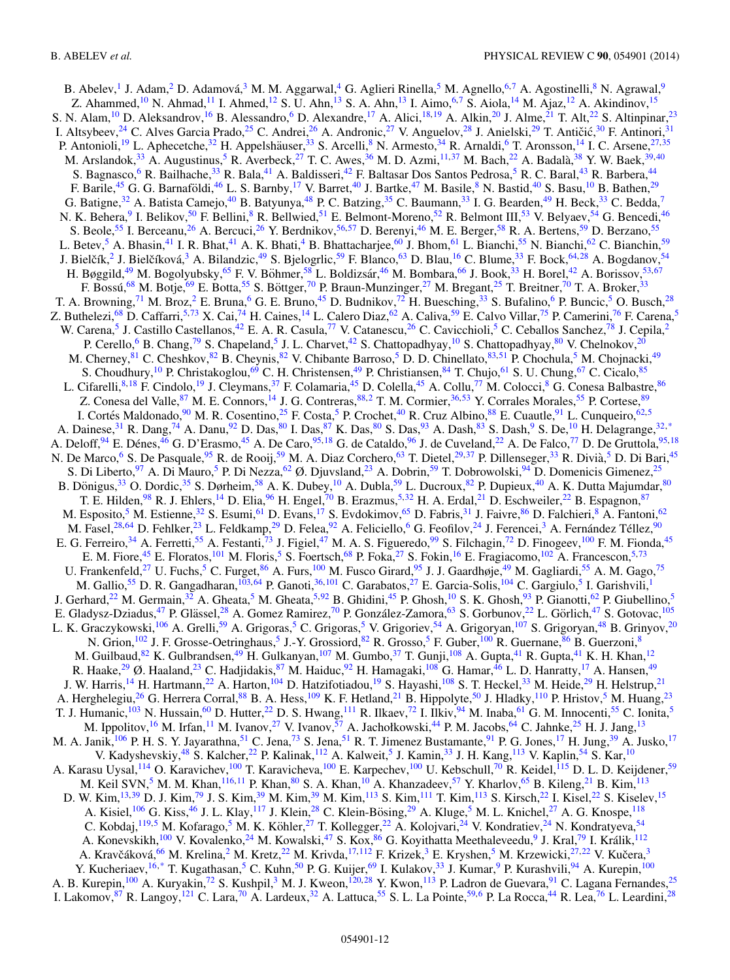B. Abelev,<sup>1</sup> J. Adam,<sup>2</sup> D. Adamová,<sup>[3](#page-13-0)</sup> M. M. Aggarwal,<sup>4</sup> G. Aglieri Rinella,<sup>[5](#page-13-0)</sup> M. Agnello,<sup>[6,7](#page-13-0)</sup> A. Agostinelli,<sup>8</sup> N. Agrawal,<sup>9</sup> Z. Ahammed,<sup>10</sup> N. Ahmad,<sup>[11](#page-13-0)</sup> I. Ahmed,<sup>[12](#page-13-0)</sup> S. U. Ahn,<sup>13</sup> S. A. Ahn,<sup>13</sup> I. Aimo,<sup>6,7</sup> S. Aiola,<sup>[14](#page-13-0)</sup> M. Ajaz,<sup>12</sup> A. Akindinov,<sup>[15](#page-13-0)</sup> S. N. Alam,<sup>[10](#page-13-0)</sup> D. Aleksandrov,<sup>[16](#page-13-0)</sup> B. Alessandro,<sup>6</sup> D. Alexandre,<sup>[17](#page-13-0)</sup> A. Alici,<sup>[18,19](#page-13-0)</sup> A. Alkin,<sup>[20](#page-13-0)</sup> J. Alme,<sup>21</sup> T. Alt,<sup>[22](#page-13-0)</sup> S. Altinpinar,<sup>[23](#page-13-0)</sup> I. Altsybeev,<sup>[24](#page-13-0)</sup> C. Alves Garcia Prado,<sup>[25](#page-13-0)</sup> C. Andrei,<sup>[26](#page-13-0)</sup> A. Andronic,<sup>[27](#page-13-0)</sup> V. Anguelov,<sup>[28](#page-13-0)</sup> J. Anielski,<sup>[29](#page-13-0)</sup> T. Antičić,<sup>[30](#page-13-0)</sup> F. Antinori,<sup>31</sup> P. Antonioli,<sup>[19](#page-13-0)</sup> L. Aphecetche,<sup>32</sup> H. Appelshäuser,<sup>[33](#page-13-0)</sup> S. Arcelli,<sup>[8](#page-13-0)</sup> N. Armesto,<sup>[34](#page-13-0)</sup> R. Arnaldi,<sup>[6](#page-13-0)</sup> T. Aronsson,<sup>[14](#page-13-0)</sup> I. C. Arsene,<sup>[27,35](#page-13-0)</sup> M. Arslandok,<sup>[33](#page-13-0)</sup> A. Augustinus,<sup>5</sup> R. Averbeck,<sup>[27](#page-13-0)</sup> T. C. Awes,<sup>[36](#page-13-0)</sup> M. D. Azmi,<sup>[11,37](#page-13-0)</sup> M. Bach,<sup>[22](#page-13-0)</sup> A. Badalà,<sup>[38](#page-13-0)</sup> Y. W. Baek,<sup>[39,40](#page-13-0)</sup> S. Bagnasco,<sup>6</sup> R. Bailhache,<sup>[33](#page-13-0)</sup> R. Bala,<sup>[41](#page-13-0)</sup> A. Baldisseri,<sup>[42](#page-13-0)</sup> F. Baltasar Dos Santos Pedrosa,<sup>5</sup> R. C. Baral,<sup>[43](#page-13-0)</sup> R. Barbera,<sup>[44](#page-13-0)</sup> F. Barile,<sup>[45](#page-13-0)</sup> G. G. Barnaföldi,<sup>[46](#page-13-0)</sup> L. S. Barnby,<sup>[17](#page-13-0)</sup> V. Barret,<sup>[40](#page-13-0)</sup> J. Bartke,<sup>47</sup> M. Basile,<sup>[8](#page-13-0)</sup> N. Bastid,<sup>40</sup> S. Basu,<sup>[10](#page-13-0)</sup> B. Bathen,<sup>[29](#page-13-0)</sup> G. Batigne,<sup>[32](#page-13-0)</sup> A. Batista Camejo,<sup>[40](#page-13-0)</sup> B. Batyunya,<sup>[48](#page-13-0)</sup> P. C. Batzing,<sup>[35](#page-13-0)</sup> C. Baumann,<sup>[33](#page-13-0)</sup> I. G. Bearden,<sup>49</sup> H. Beck,<sup>33</sup> C. Bedda,<sup>[7](#page-13-0)</sup> N. K. Behera, <sup>9</sup> I. Belikov, <sup>50</sup> F. Bellini, <sup>8</sup> R. Bellwied, <sup>[51](#page-13-0)</sup> E. Belmont-Moreno, <sup>[52](#page-13-0)</sup> R. Belmont III, <sup>[53](#page-14-0)</sup> V. Belyaev, [54](#page-14-0) G. Bencedi, [46](#page-13-0) S. Beole,<sup>[55](#page-14-0)</sup> I. Berceanu,<sup>[26](#page-13-0)</sup> A. Bercuci,<sup>26</sup> Y. Berdnikov,<sup>[56,57](#page-14-0)</sup> D. Berenyi,<sup>46</sup> M. E. Berger,<sup>58</sup> R. A. Bertens,<sup>59</sup> D. Berzano,<sup>55</sup> L. Betev,<sup>5</sup> A. Bhasin,<sup>[41](#page-13-0)</sup> I. R. Bhat,<sup>41</sup> A. K. Bhati,<sup>4</sup> B. Bhattacharjee,<sup>60</sup> J. Bhom,<sup>61</sup> L. Bianchi,<sup>55</sup> N. Bianchi,<sup>[62](#page-14-0)</sup> C. Bianchin,<sup>[59](#page-14-0)</sup> J. Bielčík,<sup>[2](#page-13-0)</sup> J. Bielčíková,<sup>[3](#page-13-0)</sup> A. Bilandzic,<sup>[49](#page-13-0)</sup> S. Bjelogrlic,<sup>[59](#page-14-0)</sup> F. Blanco,<sup>[63](#page-14-0)</sup> D. Blau,<sup>[16](#page-13-0)</sup> C. Blume,<sup>[33](#page-13-0)</sup> F. Bock,<sup>[64](#page-14-0)[,28](#page-13-0)</sup> A. Bogdanov,<sup>[54](#page-14-0)</sup> H. Bøggild,<sup>[49](#page-13-0)</sup> M. Bogolyubsky,<sup>65</sup> F. V. Böhmer,<sup>[58](#page-14-0)</sup> L. Boldizsár,<sup>[46](#page-13-0)</sup> M. Bombara,<sup>66</sup> J. Book,<sup>33</sup> H. Borel,<sup>[42](#page-13-0)</sup> A. Borissov,<sup>[53,67](#page-14-0)</sup> F. Bossú,<sup>[68](#page-14-0)</sup> M. Botje,<sup>[69](#page-14-0)</sup> E. Botta,<sup>[55](#page-14-0)</sup> S. Böttger,<sup>[70](#page-14-0)</sup> P. Braun-Munzinger,<sup>[27](#page-13-0)</sup> M. Bregant,<sup>[25](#page-13-0)</sup> T. Breitner,<sup>70</sup> T. A. Broker,<sup>[33](#page-13-0)</sup> T. A. Browning,<sup>[71](#page-14-0)</sup> M. Broz,<sup>[2](#page-13-0)</sup> E. Bruna,<sup>[6](#page-13-0)</sup> G. E. Bruno,<sup>[45](#page-13-0)</sup> D. Budnikov,<sup>[72](#page-14-0)</sup> H. Buesching,<sup>33</sup> S. Bufalino,<sup>6</sup> P. Buncic,<sup>[5](#page-13-0)</sup> O. Busch,<sup>28</sup> Z. Buthelezi,<sup>[68](#page-14-0)</sup> D. Caffarri,<sup>[5,](#page-13-0)[73](#page-14-0)</sup> X. Cai,<sup>74</sup> H. Caines,<sup>[14](#page-13-0)</sup> L. Calero Diaz,<sup>[62](#page-14-0)</sup> A. Caliva,<sup>59</sup> E. Calvo Villar,<sup>75</sup> P. Camerini,<sup>[76](#page-14-0)</sup> F. Carena,<sup>[5](#page-13-0)</sup> W. Carena,<sup>[5](#page-13-0)</sup> J. Castillo Castellanos,<sup>[42](#page-13-0)</sup> E. A. R. Casula,<sup>[77](#page-14-0)</sup> V. Catanescu,<sup>[26](#page-13-0)</sup> C. Cavicchioli,<sup>5</sup> C. Ceballos Sanchez,<sup>78</sup> J. Cepila,<sup>2</sup> P. Cerello,<sup>[6](#page-13-0)</sup> B. Chang,<sup>[79](#page-14-0)</sup> S. Chapeland,<sup>5</sup> J. L. Charvet,<sup>42</sup> S. Chattopadhyay,<sup>10</sup> S. Chattopadhyay,<sup>80</sup> V. Chelnokov,<sup>[20](#page-13-0)</sup> M. Cherney, <sup>[81](#page-14-0)</sup> C. Cheshkov, <sup>[82](#page-14-0)</sup> B. Cheynis, <sup>82</sup> V. Chibante Barroso, <sup>5</sup> D. D. Chinellato, <sup>83[,5](#page-13-0)1</sup> P. Chochula, 5 M. Chojnacki, <sup>49</sup> S. Choudhury, <sup>10</sup> P. Christakoglou, <sup>[69](#page-14-0)</sup> C. H. Christensen, <sup>[49](#page-13-0)</sup> P. Christiansen, <sup>[84](#page-14-0)</sup> T. Chujo, <sup>[61](#page-14-0)</sup> S. U. Chung, <sup>[67](#page-14-0)</sup> C. Cicalo, <sup>[85](#page-14-0)</sup> L. Cifarelli,<sup>[8,18](#page-13-0)</sup> F. Cindolo,<sup>[19](#page-13-0)</sup> J. Cleymans,<sup>37</sup> F. Colamaria,<sup>[45](#page-13-0)</sup> D. Colella,<sup>45</sup> A. Collu,<sup>[77](#page-14-0)</sup> M. Colocci,<sup>[8](#page-13-0)</sup> G. Conesa Balbastre,<sup>86</sup> Z. Conesa del Valle, <sup>87</sup> M. E. Connors, <sup>14</sup> J. G. Contreras, <sup>88, [2](#page-13-0)</sup> T. M. Cormier, <sup>[36,](#page-13-0) [53](#page-14-0)</sup> Y. Corrales Morales, <sup>[55](#page-14-0)</sup> P. Cortese, <sup>[89](#page-14-0)</sup> I. Cortés Maldonado, <sup>[90](#page-14-0)</sup> M. R. Cosentino, <sup>[25](#page-13-0)</sup> F. Costa, <sup>[5](#page-13-0)</sup> P. Crochet, <sup>[40](#page-13-0)</sup> R. Cruz Albino, <sup>[88](#page-14-0)</sup> E. Cuautle, <sup>91</sup> L. Cunqueiro, <sup>[62,](#page-14-0) 5</sup> A. Dainese,<sup>[31](#page-13-0)</sup> R. Dang,<sup>74</sup> A. Danu,<sup>[92](#page-14-0)</sup> D. Das,<sup>80</sup> I. Das,<sup>87</sup> K. Das,<sup>80</sup> S. Das,<sup>93</sup> A. Dash,<sup>[83](#page-14-0)</sup> S. Dash,<sup>[9](#page-13-0)</sup> S. De,<sup>[10](#page-13-0)</sup> H. Delagrange,<sup>32,[\\*](#page-15-0)</sup> A. Deloff,  $94$  E. Dénes,  $46$  G. D'Erasmo,  $45$  A. De Caro,  $95,18$  $95,18$  G. de Cataldo,  $96$  J. de Cuveland,  $22$  A. De Falco,  $77$  D. De Gruttola,  $95,18$ N. De Marco,<sup>[6](#page-13-0)</sup> S. De Pasquale,<sup>[95](#page-14-0)</sup> R. de Rooij,<sup>[59](#page-14-0)</sup> M. A. Diaz Corchero,<sup>[63](#page-14-0)</sup> T. Dietel,<sup>[29,37](#page-13-0)</sup> P. Dillenseger,<sup>[33](#page-13-0)</sup> R. Divià,<sup>[5](#page-13-0)</sup> D. Di Bari,<sup>[45](#page-13-0)</sup> S. Di Liberto,<sup>[97](#page-14-0)</sup> A. Di Mauro,<sup>[5](#page-13-0)</sup> P. Di Nezza,<sup>62</sup> Ø. Djuvsland,<sup>[23](#page-13-0)</sup> A. Dobrin,<sup>[59](#page-14-0)</sup> T. Dobrowolski,<sup>[94](#page-14-0)</sup> D. Domenicis Gimenez,<sup>25</sup> B. Dönigus,  $33$  O. Dordic,  $35$  S. Dørheim,  $58$  A. K. Dubey,  $10$  A. Dubla,  $59$  L. Ducroux,  $82$  P. Dupieux,  $40$  A. K. Dutta Majumdar,  $80$ T. E. Hilden,<sup>[98](#page-14-0)</sup> R. J. Ehlers,<sup>14</sup> D. Elia,<sup>[96](#page-14-0)</sup> H. Engel,<sup>70</sup> B. Erazmus,<sup>[5,32](#page-13-0)</sup> H. A. Erdal,<sup>21</sup> D. Eschweiler,<sup>[22](#page-13-0)</sup> B. Espagnon,<sup>[87](#page-14-0)</sup> M. Esposito,<sup>[5](#page-13-0)</sup> M. Estienne,<sup>[32](#page-13-0)</sup> S. Esumi,<sup>[61](#page-14-0)</sup> D. Evans,<sup>[17](#page-13-0)</sup> S. Evdokimov,<sup>[65](#page-14-0)</sup> D. Fabris,<sup>[31](#page-13-0)</sup> J. Faivre,<sup>86</sup> D. Falchieri,<sup>8</sup> A. Fantoni,<sup>[62](#page-14-0)</sup> M. Fasel,<sup>[28,](#page-13-0)[64](#page-14-0)</sup> D. Fehlker,<sup>23</sup> L. Feldkamp,<sup>[29](#page-13-0)</sup> D. Felea,<sup>[92](#page-14-0)</sup> A. Feliciello,<sup>[6](#page-13-0)</sup> G. Feofilov,<sup>[24](#page-13-0)</sup> J. Ferencei,<sup>3</sup> A. Fernández Téllez,<sup>[90](#page-14-0)</sup> E. G. Ferreiro,<sup>[34](#page-13-0)</sup> A. Ferretti,<sup>[55](#page-14-0)</sup> A. Festanti,<sup>[73](#page-14-0)</sup> J. Figiel,<sup>47</sup> M. A. S. Figueredo,<sup>[99](#page-14-0)</sup> S. Filchagin,<sup>[72](#page-14-0)</sup> D. Finogeev,<sup>[100](#page-14-0)</sup> F. M. Fionda,<sup>[45](#page-13-0)</sup> E. M. Fiore,<sup>[45](#page-13-0)</sup> E. Floratos,<sup>[101](#page-14-0)</sup> M. Floris,<sup>[5](#page-13-0)</sup> S. Foertsch,<sup>[68](#page-14-0)</sup> P. Foka,<sup>[27](#page-13-0)</sup> S. Fokin,<sup>[16](#page-13-0)</sup> E. Fragiacomo,<sup>[102](#page-14-0)</sup> A. Francescon,<sup>[5,](#page-13-0)[73](#page-14-0)</sup> U. Frankenfeld,<sup>[27](#page-13-0)</sup> U. Fuchs,<sup>5</sup> C. Furget,<sup>[86](#page-14-0)</sup> A. Furs,<sup>100</sup> M. Fusco Girard,<sup>[95](#page-14-0)</sup> J. J. Gaardhøje,<sup>49</sup> M. Gagliardi,<sup>[55](#page-14-0)</sup> A. M. Gago,<sup>[75](#page-14-0)</sup> M. Gallio,<sup>[55](#page-14-0)</sup> D. R. Gangadharan,<sup>103,64</sup> P. Ganoti,<sup>36,[101](#page-14-0)</sup> C. Garabatos,<sup>[27](#page-13-0)</sup> E. Garcia-Solis,<sup>[104](#page-14-0)</sup> C. Gargiulo,<sup>[5](#page-13-0)</sup> I. Garishvili,<sup>1</sup> J. Gerhard,<sup>[22](#page-13-0)</sup> M. Germain,<sup>[32](#page-13-0)</sup> A. Gheata,<sup>[5](#page-13-0)</sup> M. Gheata,<sup>5,[92](#page-14-0)</sup> B. Ghidini,<sup>45</sup> P. Ghosh,<sup>[10](#page-13-0)</sup> S. K. Ghosh,<sup>[93](#page-14-0)</sup> P. Gianotti,<sup>62</sup> P. Giubellino,<sup>5</sup> E. Gladysz-Dziadus,<sup>[47](#page-13-0)</sup> P. Glässel,<sup>[28](#page-13-0)</sup> A. Gomez Ramirez,<sup>[70](#page-14-0)</sup> P. González-Zamora,<sup>[63](#page-14-0)</sup> S. Gorbunov,<sup>22</sup> L. Görlich,<sup>47</sup> S. Gotovac,<sup>105</sup> L. K. Graczykowski,<sup>[106](#page-14-0)</sup> A. Grelli,<sup>[59](#page-14-0)</sup> A. Grigoras,<sup>[5](#page-13-0)</sup> C. Grigoras,<sup>5</sup> V. Grigoriev,<sup>[54](#page-14-0)</sup> A. Grigoryan,<sup>[107](#page-14-0)</sup> S. Grigoryan,<sup>[48](#page-13-0)</sup> B. Grinyov,<sup>[20](#page-13-0)</sup> N. Grion,<sup>[102](#page-14-0)</sup> J. F. Grosse-Oetringhaus,<sup>5</sup> J.-Y. Grossiord,<sup>[82](#page-14-0)</sup> R. Grosso,<sup>[5](#page-13-0)</sup> F. Guber,<sup>[100](#page-14-0)</sup> R. Guernane, <sup>[86](#page-14-0)</sup> B. Guerzoni,<sup>8</sup> M. Guilbaud,<sup>[82](#page-14-0)</sup> K. Gulbrandsen,<sup>[49](#page-13-0)</sup> H. Gulkanyan,<sup>[107](#page-14-0)</sup> M. Gumbo,<sup>[37](#page-13-0)</sup> T. Gunji,<sup>[108](#page-14-0)</sup> A. Gupta,<sup>[41](#page-13-0)</sup> R. Gupta,<sup>41</sup> K. H. Khan,<sup>[12](#page-13-0)</sup> R. Haake,<sup>[29](#page-13-0)</sup> Ø. Haaland,<sup>[23](#page-13-0)</sup> C. Hadjidakis,<sup>87</sup> M. Haiduc,<sup>92</sup> H. Hamagaki,<sup>108</sup> G. Hamar,<sup>46</sup> L. D. Hanratty,<sup>[17](#page-13-0)</sup> A. Hansen,<sup>49</sup> J. W. Harris,<sup>14</sup> H. Hartmann,<sup>[22](#page-13-0)</sup> A. Harton,<sup>[104](#page-14-0)</sup> D. Hatzifotiadou,<sup>[19](#page-13-0)</sup> S. Hayashi,<sup>[108](#page-14-0)</sup> S. T. Heckel,<sup>[33](#page-13-0)</sup> M. Heide,<sup>[29](#page-13-0)</sup> H. Helstrup,<sup>[21](#page-13-0)</sup> A. Herghelegiu,<sup>26</sup> G. Herrera Corral,<sup>88</sup> B. A. Hess,<sup>109</sup> K. F. Hetland,<sup>[21](#page-13-0)</sup> B. Hippolyte,<sup>[50](#page-13-0)</sup> J. Hladky,<sup>110</sup> P. Hristov,<sup>[5](#page-13-0)</sup> M. Huang,<sup>23</sup> T. J. Humanic,<sup>103</sup> N. Hussain,<sup>[60](#page-14-0)</sup> D. Hutter,<sup>22</sup> D. S. Hwang,<sup>111</sup> R. Ilkaev,<sup>[72](#page-14-0)</sup> I. Ilkiv,<sup>[94](#page-14-0)</sup> M. Inaba,<sup>61</sup> G. M. Innocenti,<sup>[5](#page-13-0)5</sup> C. Ionita,<sup>5</sup> M. Ippolitov,<sup>[16](#page-13-0)</sup> M. Irfan,<sup>[11](#page-13-0)</sup> M. Ivanov,<sup>[27](#page-13-0)</sup> V. Ivanov,<sup>[57](#page-14-0)</sup> A. Jachołkowski,<sup>44</sup> P. M. Jacobs,<sup>64</sup> C. Jahnke,<sup>[25](#page-13-0)</sup> H. J. Jang,<sup>13</sup> M. A. Janik,<sup>[106](#page-14-0)</sup> P. H. S. Y. Jayarathna,<sup>51</sup> C. Jena,<sup>[73](#page-14-0)</sup> S. Jena,<sup>[51](#page-13-0)</sup> R. T. Jimenez Bustamante,<sup>[91](#page-14-0)</sup> P. G. Jones,<sup>17</sup> H. Jung,<sup>[39](#page-13-0)</sup> A. Jusko,<sup>[17](#page-13-0)</sup> V. Kadyshevskiy,<sup>[48](#page-13-0)</sup> S. Kalcher,<sup>[22](#page-13-0)</sup> P. Kalinak,<sup>[112](#page-15-0)</sup> A. Kalweit,<sup>[5](#page-13-0)</sup> J. Kamin,<sup>[33](#page-13-0)</sup> J. H. Kang,<sup>[113](#page-15-0)</sup> V. Kaplin,<sup>[54](#page-14-0)</sup> S. Kar,<sup>10</sup> A. Karasu Uysal,<sup>114</sup> O. Karavichev,<sup>[100](#page-14-0)</sup> T. Karavicheva,<sup>100</sup> E. Karpechev,<sup>100</sup> U. Kebschull,<sup>70</sup> R. Keidel,<sup>[115](#page-15-0)</sup> D. L. D. Keijdener,<sup>[59](#page-14-0)</sup> M. Keil SVN,<sup>5</sup> M. M. Khan,<sup>116[,11](#page-13-0)</sup> P. Khan,<sup>[80](#page-14-0)</sup> S. A. Khan,<sup>10</sup> A. Khanzadeev,<sup>[57](#page-14-0)</sup> Y. Kharlov,<sup>65</sup> B. Kileng,<sup>[21](#page-13-0)</sup> B. Kim,<sup>[113](#page-15-0)</sup> D. W. Kim,<sup>[13,39](#page-13-0)</sup> D. J. Kim,<sup>[79](#page-14-0)</sup> J. S. Kim,<sup>[39](#page-13-0)</sup> M. Kim,<sup>39</sup> M. Kim,<sup>[113](#page-15-0)</sup> S. Kim,<sup>[111](#page-14-0)</sup> T. Kim,<sup>113</sup> S. Kirsch,<sup>[22](#page-13-0)</sup> I. Kisel,<sup>22</sup> S. Kiselev,<sup>[15](#page-13-0)</sup> A. Kisiel,<sup>[106](#page-14-0)</sup> G. Kiss,<sup>[46](#page-13-0)</sup> J. L. Klay,<sup>117</sup> J. Klein,<sup>28</sup> C. Klein-Bösing,<sup>[29](#page-13-0)</sup> A. Kluge,<sup>[5](#page-13-0)</sup> M. L. Knichel,<sup>[27](#page-13-0)</sup> A. G. Knospe,<sup>118</sup> C. Kobdaj, <sup>[119,](#page-15-0)[5](#page-13-0)</sup> M. Kofarago,<sup>5</sup> M. K. Köhler, <sup>[27](#page-13-0)</sup> T. Kollegger, <sup>22</sup> A. Kolojvari, <sup>[24](#page-13-0)</sup> V. Kondratiev, <sup>24</sup> N. Kondratyeva, <sup>54</sup> A. Konevskikh,<sup>[100](#page-14-0)</sup> V. Kovalenko,<sup>[24](#page-13-0)</sup> M. Kowalski,<sup>[47](#page-13-0)</sup> S. Kox,<sup>[86](#page-14-0)</sup> G. Koyithatta Meethaleveedu,<sup>[9](#page-13-0)</sup> J. Kral,<sup>[79](#page-14-0)</sup> I. Králik,<sup>[112](#page-15-0)</sup> A. Kravčáková,<sup>[66](#page-14-0)</sup> M. Krelina,<sup>[2](#page-13-0)</sup> M. Kretz,<sup>[22](#page-13-0)</sup> M. Krivda,<sup>[17,](#page-13-0)[112](#page-15-0)</sup> F. Krizek,<sup>[3](#page-13-0)</sup> E. Kryshen,<sup>[5](#page-13-0)</sup> M. Krzewicki,<sup>[27,22](#page-13-0)</sup> V. Kučera,<sup>3</sup> Y. Kucheriaev, <sup>16,[\\*](#page-15-0)</sup> T. Kugathasan, <sup>[5](#page-13-0)</sup> C. Kuhn, <sup>[50](#page-13-0)</sup> P. G. Kuijer, <sup>69</sup> I. Kulakov, <sup>[33](#page-13-0)</sup> J. Kumar, <sup>9</sup> P. Kurashvili, <sup>[94](#page-14-0)</sup> A. Kurepin, <sup>[100](#page-14-0)</sup> A. B. Kurepin,<sup>[100](#page-14-0)</sup> A. Kuryakin,<sup>[72](#page-14-0)</sup> S. Kushpil,<sup>[3](#page-13-0)</sup> M. J. Kweon,<sup>120,[28](#page-13-0)</sup> Y. Kwon,<sup>[113](#page-15-0)</sup> P. Ladron de Guevara,<sup>[91](#page-14-0)</sup> C. Lagana Fernandes,<sup>[25](#page-13-0)</sup> I. Lakomov, <sup>[87](#page-14-0)</sup> R. Langoy, <sup>[121](#page-15-0)</sup> C. Lara, <sup>[70](#page-14-0)</sup> A. Lardeux, <sup>[32](#page-13-0)</sup> A. Lattuca, <sup>[55](#page-14-0)</sup> S. L. La Pointe, <sup>[59](#page-14-0)[,6](#page-13-0)</sup> P. La Rocca, <sup>[44](#page-13-0)</sup> R. Lea, <sup>[76](#page-14-0)</sup> L. Leardini, <sup>[28](#page-13-0)</sup>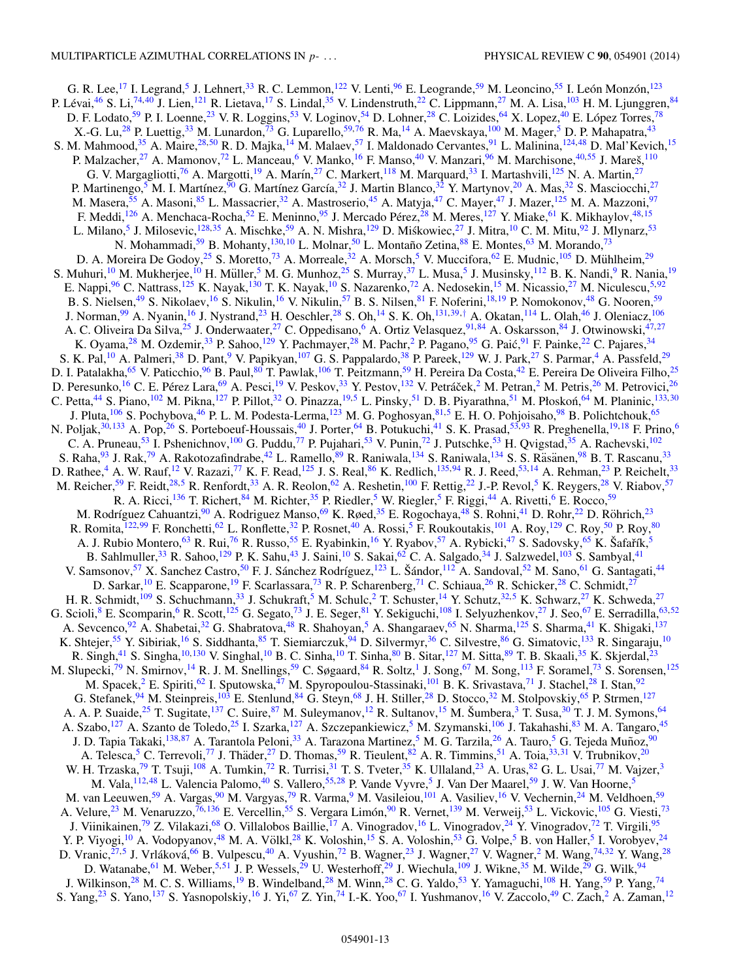G. R. Lee, <sup>17</sup> I. Legrand,<sup>[5](#page-13-0)</sup> J. Lehnert,<sup>33</sup> R. C. Lemmon,<sup>122</sup> V. Lenti,<sup>[96](#page-14-0)</sup> E. Leogrande,<sup>59</sup> M. Leoncino,<sup>[55](#page-14-0)</sup> I. León Monzón,<sup>[123](#page-15-0)</sup> P. Lévai,<sup>[46](#page-13-0)</sup> S. Li,<sup>[74,](#page-14-0)[40](#page-13-0)</sup> J. Lien,<sup>[121](#page-15-0)</sup> R. Lietava,<sup>[17](#page-13-0)</sup> S. Lindal,<sup>[35](#page-13-0)</sup> V. Lindenstruth,<sup>22</sup> C. Lippmann,<sup>[27](#page-13-0)</sup> M. A. Lisa,<sup>[103](#page-14-0)</sup> H. M. Ljunggren,<sup>84</sup> D. F. Lodato,<sup>[59](#page-14-0)</sup> P. I. Loenne,<sup>23</sup> V. R. Loggins,<sup>[53](#page-14-0)</sup> V. Loginov,<sup>[54](#page-14-0)</sup> D. Lohner,<sup>28</sup> C. Loizides,<sup>[64](#page-14-0)</sup> X. Lopez,<sup>40</sup> E. López Torres,<sup>[78](#page-14-0)</sup> X.-G. Lu,<sup>[28](#page-13-0)</sup> P. Luettig,<sup>33</sup> M. Lunardon,<sup>[73](#page-14-0)</sup> G. Luparello,<sup>[59,76](#page-14-0)</sup> R. Ma,<sup>[14](#page-13-0)</sup> A. Maevskaya,<sup>[100](#page-14-0)</sup> M. Mager,<sup>[5](#page-13-0)</sup> D. P. Mahapatra,<sup>43</sup> S. M. Mahmood,<sup>35</sup> A. Maire,<sup>[28,50](#page-13-0)</sup> R. D. Majka,<sup>[14](#page-13-0)</sup> M. Malaev,<sup>[57](#page-14-0)</sup> I. Maldonado Cervantes,<sup>91</sup> L. Malinina,<sup>[124,](#page-15-0)[48](#page-13-0)</sup> D. Mal'Kevich,<sup>[15](#page-13-0)</sup> P. Malzacher,<sup>27</sup> A. Mamonov,<sup>[72](#page-14-0)</sup> L. Manceau,<sup>[6](#page-13-0)</sup> V. Manko,<sup>[16](#page-13-0)</sup> F. Manso,<sup>[40](#page-13-0)</sup> V. Manzari,<sup>96</sup> M. Marchisone,<sup>40[,55](#page-14-0)</sup> J. Mareš,<sup>[110](#page-14-0)</sup> G. V. Margagliotti,<sup>[76](#page-14-0)</sup> A. Margotti,<sup>[19](#page-13-0)</sup> A. Marín,<sup>[27](#page-13-0)</sup> C. Markert,<sup>118</sup> M. Marquard,<sup>[33](#page-13-0)</sup> I. Martashvili,<sup>125</sup> N. A. Martin,<sup>27</sup> P. Martinengo,<sup>[5](#page-13-0)</sup> M. I. Martínez,<sup>[90](#page-14-0)</sup> G. Martínez García,<sup>[32](#page-13-0)</sup> J. Martin Blanco,<sup>32</sup> Y. Martynov,<sup>[20](#page-13-0)</sup> A. Mas,<sup>32</sup> S. Masciocchi,<sup>[27](#page-13-0)</sup> M. Masera,<sup>[55](#page-14-0)</sup> A. Masoni,<sup>85</sup> L. Massacrier,<sup>32</sup> A. Mastroserio,<sup>[45](#page-13-0)</sup> A. Matyja,<sup>[47](#page-13-0)</sup> C. Mayer,<sup>47</sup> J. Mazer,<sup>125</sup> M. A. Mazzoni,<sup>97</sup> F. Meddi, <sup>[126](#page-15-0)</sup> A. Menchaca-Rocha, <sup>52</sup> E. Meninno, <sup>[95](#page-14-0)</sup> J. Mercado Pérez, <sup>[28](#page-13-0)</sup> M. Meres, <sup>127</sup> Y. Miake, <sup>[61](#page-14-0)</sup> K. Mikhaylov, <sup>48, 15</sup> L. Milano,<sup>[5](#page-13-0)</sup> J. Milosevic,<sup>[128,](#page-15-0)[35](#page-13-0)</sup> A. Mischke,<sup>[59](#page-14-0)</sup> A. N. Mishra,<sup>[129](#page-15-0)</sup> D. Miśkowiec,<sup>[27](#page-13-0)</sup> J. Mitra,<sup>[10](#page-13-0)</sup> C. M. Mitu,<sup>[92](#page-14-0)</sup> J. Mlynarz,<sup>[53](#page-14-0)</sup> N. Mohammadi,<sup>59</sup> B. Mohanty, <sup>[130,](#page-15-0)[10](#page-13-0)</sup> L. Molnar,<sup>[50](#page-13-0)</sup> L. Montaño Zetina,<sup>[88](#page-14-0)</sup> E. Montes, <sup>[63](#page-14-0)</sup> M. Morando, <sup>73</sup> D. A. Moreira De Godoy,<sup>[25](#page-13-0)</sup> S. Moretto,<sup>[73](#page-14-0)</sup> A. Morreale,<sup>[32](#page-13-0)</sup> A. Morsch,<sup>[5](#page-13-0)</sup> V. Muccifora,<sup>62</sup> E. Mudnic,<sup>[105](#page-14-0)</sup> D. Mühlheim,<sup>[29](#page-13-0)</sup> S. Muhuri,<sup>[10](#page-13-0)</sup> M. Mukherjee,<sup>10</sup> H. Müller,<sup>[5](#page-13-0)</sup> M. G. Munhoz,<sup>[25](#page-13-0)</sup> S. Murray,<sup>[37](#page-13-0)</sup> L. Musa,<sup>5</sup> J. Musinsky,<sup>112</sup> B. K. Nandi,<sup>9</sup> R. Nania,<sup>[19](#page-13-0)</sup> E. Nappi,<sup>[96](#page-14-0)</sup> C. Nattrass,<sup>[125](#page-15-0)</sup> K. Nayak,<sup>130</sup> T. K. Nayak,<sup>10</sup> S. Nazarenko,<sup>[72](#page-14-0)</sup> A. Nedosekin,<sup>15</sup> M. Nicassio,<sup>[27](#page-13-0)</sup> M. Niculescu,<sup>[5,](#page-13-0)[92](#page-14-0)</sup> B. S. Nielsen,<sup>[49](#page-13-0)</sup> S. Nikolaev,<sup>[16](#page-13-0)</sup> S. Nikulin,<sup>16</sup> V. Nikulin,<sup>[57](#page-14-0)</sup> B. S. Nilsen,<sup>[81](#page-14-0)</sup> F. Noferini,<sup>[18,19](#page-13-0)</sup> P. Nomokonov,<sup>[48](#page-13-0)</sup> G. Nooren,<sup>59</sup> J. Norman,<sup>99</sup> A. Nyanin,<sup>[16](#page-13-0)</sup> J. Nystrand,<sup>23</sup> H. Oeschler,<sup>28</sup> S. Oh,<sup>[14](#page-13-0)</sup> S. K. Oh,<sup>[131,](#page-15-0)[39,](#page-13-0)[†](#page-0-0)</sup> A. Okatan,<sup>[114](#page-15-0)</sup> L. Olah,<sup>[46](#page-13-0)</sup> J. Oleniacz,<sup>106</sup> A. C. Oliveira Da Silva,<sup>[25](#page-13-0)</sup> J. Onderwaater,<sup>27</sup> C. Oppedisano,<sup>6</sup> A. Ortiz Velasquez,<sup>91,84</sup> A. Oskarsson,<sup>84</sup> J. Otwinowski,<sup>47[,27](#page-13-0)</sup> K. Oyama,<sup>28</sup> M. Ozdemir,<sup>33</sup> P. Sahoo,<sup>129</sup> Y. Pachmayer,<sup>28</sup> M. Pachr,<sup>2</sup> P. Pagano,<sup></sup> K. Oyama,<sup>[28](#page-13-0)</sup> M. Ozdemir,<sup>33</sup> P. Sahoo,<sup>[129](#page-15-0)</sup> Y. Pachmayer,<sup>[2](#page-13-0)8</sup> M. Pachr,<sup>2</sup> P. Pagano,<sup>95</sup> G. Paić,<sup>[91](#page-14-0)</sup> F. Painke,<sup>[22](#page-13-0)</sup> C. Pajares,<sup>34</sup> S. K. Pal, <sup>[10](#page-13-0)</sup> A. Palmeri,<sup>[38](#page-13-0)</sup> D. Pant, <sup>[9](#page-13-0)</sup> V. Papikyan, <sup>[107](#page-14-0)</sup> G. S. Pappalardo, <sup>38</sup> P. Pareek, <sup>129</sup> W. J. Park, <sup>27</sup> S. Parmar, <sup>[4](#page-13-0)</sup> A. Passfeld, <sup>[29](#page-13-0)</sup> D. I. Patalakha,<sup>[65](#page-14-0)</sup> V. Paticchio,<sup>[96](#page-14-0)</sup> B. Paul,<sup>[80](#page-14-0)</sup> T. Pawlak,<sup>[106](#page-14-0)</sup> T. Peitzmann,<sup>[59](#page-14-0)</sup> H. Pereira Da Costa,<sup>[42](#page-13-0)</sup> E. Pereira De Oliveira Filho,<sup>[25](#page-13-0)</sup> D. Peresunko,<sup>16</sup> C. E. Pérez Lara,<sup>[69](#page-14-0)</sup> A. Pesci,<sup>19</sup> V. Peskov,<sup>[33](#page-13-0)</sup> Y. Pestov,<sup>[132](#page-15-0)</sup> V. Petráček,<sup>[2](#page-13-0)</sup> M. Petran,<sup>2</sup> M. Petris,<sup>26</sup> M. Petrovici,<sup>26</sup> C. Petta,<sup>[44](#page-13-0)</sup> S. Piano,<sup>[102](#page-14-0)</sup> M. Pikna,<sup>[127](#page-15-0)</sup> P. Pillot,<sup>[32](#page-13-0)</sup> O. Pinazza,<sup>[19,5](#page-13-0)</sup> L. Pinsky,<sup>[51](#page-13-0)</sup> D. B. Piyarathna,<sup>51</sup> M. Płoskoń,<sup>[64](#page-14-0)</sup> M. Planinic,<sup>[133,](#page-15-0)[30](#page-13-0)</sup> J. Pluta,<sup>[106](#page-14-0)</sup> S. Pochybova,<sup>46</sup> P. L. M. Podesta-Lerma,<sup>[123](#page-15-0)</sup> M. G. Poghosyan,<sup>[81,](#page-14-0)[5](#page-13-0)</sup> E. H. O. Pohjoisaho,<sup>98</sup> B. Polichtchouk,<sup>[65](#page-14-0)</sup> N. Poljak,<sup>[30,](#page-13-0)[133](#page-15-0)</sup> A. Pop,<sup>26</sup> S. Porteboeuf-Houssais,<sup>40</sup> J. Porter,<sup>64</sup> B. Potukuchi,<sup>[41](#page-13-0)</sup> S. K. Prasad,<sup>[53,93](#page-14-0)</sup> R. Preghenella,<sup>19,18</sup> F. Prino,<sup>[6](#page-13-0)</sup> C. A. Pruneau,<sup>[53](#page-14-0)</sup> I. Pshenichnov,<sup>100</sup> G. Puddu,<sup>[77](#page-14-0)</sup> P. Pujahari,<sup>53</sup> V. Punin,<sup>[72](#page-14-0)</sup> J. Putschke,<sup>53</sup> H. Qvigstad,<sup>[35](#page-13-0)</sup> A. Rachevski,<sup>102</sup> S. Raha,<sup>[93](#page-14-0)</sup> J. Rak,<sup>79</sup> A. Rakotozafindrabe,<sup>[42](#page-13-0)</sup> L. Ramello,<sup>[89](#page-14-0)</sup> R. Raniwala,<sup>[134](#page-15-0)</sup> S. Raniwala,<sup>134</sup> S. S. Räsänen,<sup>[98](#page-14-0)</sup> B. T. Rascanu,<sup>[33](#page-13-0)</sup> D. Rathee,<sup>[4](#page-13-0)</sup> A. W. Rauf,<sup>[12](#page-13-0)</sup> V. Razazi,<sup>[77](#page-14-0)</sup> K. F. Read,<sup>125</sup> J. S. Real,<sup>86</sup> K. Redlich,<sup>[135](#page-15-0)[,94](#page-14-0)</sup> R. J. Reed,<sup>53,[14](#page-13-0)</sup> A. Rehman,<sup>23</sup> P. Reichelt,<sup>33</sup> M. Reicher,<sup>[59](#page-14-0)</sup> F. Reidt,<sup>28,5</sup> R. Renfordt,<sup>[33](#page-13-0)</sup> A. R. Reolon,<sup>[62](#page-14-0)</sup> A. Reshetin,<sup>[100](#page-14-0)</sup> F. Rettig,<sup>[22](#page-13-0)</sup> J.-P. Revol,<sup>5</sup> K. Reygers,<sup>28</sup> V. Riabov,<sup>[57](#page-14-0)</sup> R. A. Ricci,<sup>[136](#page-15-0)</sup> T. Richert,<sup>[84](#page-14-0)</sup> M. Richter,<sup>[35](#page-13-0)</sup> P. Riedler,<sup>[5](#page-13-0)</sup> W. Riegler,<sup>5</sup> F. Riggi,<sup>44</sup> A. Rivetti,<sup>[6](#page-13-0)</sup> E. Rocco,<sup>[59](#page-14-0)</sup> M. Rodríguez Cahuantzi,<sup>[90](#page-14-0)</sup> A. Rodriguez Manso,<sup>69</sup> K. Røed,<sup>35</sup> E. Rogochaya,<sup>[48](#page-13-0)</sup> S. Rohni,<sup>[41](#page-13-0)</sup> D. Rohr,<sup>[22](#page-13-0)</sup> D. Röhrich,<sup>[23](#page-13-0)</sup> R. Romita,<sup>[122,](#page-15-0)[99](#page-14-0)</sup> F. Ronchetti,<sup>[62](#page-14-0)</sup> L. Ronflette,<sup>[32](#page-13-0)</sup> P. Rosnet,<sup>[40](#page-13-0)</sup> A. Rossi,<sup>[5](#page-13-0)</sup> F. Roukoutakis,<sup>[101](#page-14-0)</sup> A. Roy,<sup>[129](#page-15-0)</sup> C. Roy,<sup>[50](#page-13-0)</sup> P. Roy,<sup>[80](#page-14-0)</sup> A. J. Rubio Montero,<sup>63</sup> R. Rui,<sup>[76](#page-14-0)</sup> R. Russo,<sup>[55](#page-14-0)</sup> E. Ryabinkin,<sup>[16](#page-13-0)</sup> Y. Ryabov,<sup>[57](#page-14-0)</sup> A. Rybicki,<sup>[47](#page-13-0)</sup> S. Sadovsky,<sup>[65](#page-14-0)</sup> K. Šafařík,<sup>[5](#page-13-0)</sup> B. Sahlmuller,<sup>33</sup> R. Sahoo,<sup>[129](#page-15-0)</sup> P. K. Sahu,<sup>43</sup> J. Saini,<sup>10</sup> S. Sakai,<sup>[62](#page-14-0)</sup> C. A. Salgado,<sup>[34](#page-13-0)</sup> J. Salzwedel,<sup>103</sup> S. Sambyal,<sup>[41](#page-13-0)</sup> V. Samsonov,<sup>[57](#page-14-0)</sup> X. Sanchez Castro,<sup>50</sup> F. J. Sánchez Rodríguez,<sup>[123](#page-15-0)</sup> L. Šándor,<sup>[112](#page-15-0)</sup> A. Sandoval,<sup>52</sup> M. Sano,<sup>61</sup> G. Santagati,<sup>[44](#page-13-0)</sup> D. Sarkar,<sup>[10](#page-13-0)</sup> E. Scapparone,<sup>19</sup> F. Scarlassara,<sup>[73](#page-14-0)</sup> R. P. Scharenberg,<sup>71</sup> C. Schiaua,<sup>26</sup> R. Schicker,<sup>[28](#page-13-0)</sup> C. Schmidt,<sup>[27](#page-13-0)</sup> H. R. Schmidt,<sup>[109](#page-14-0)</sup> S. Schuchmann,<sup>[33](#page-13-0)</sup> J. Schukraft,<sup>5</sup> M. Schulc,<sup>2</sup> T. Schuster,<sup>14</sup> Y. Schutz,<sup>32[,5](#page-13-0)</sup> K. Schwarz,<sup>[2](#page-13-0)7</sup> K. Schweda,<sup>[27](#page-13-0)</sup> G. Scioli, <sup>[8](#page-13-0)</sup> E. Scomparin, <sup>6</sup> R. Scott, <sup>[125](#page-15-0)</sup> G. Segato, <sup>[73](#page-14-0)</sup> J. E. Seger, <sup>81</sup> Y. Sekiguchi, <sup>[108](#page-14-0)</sup> I. Selyuzhenkov, <sup>27</sup> J. Seo, <sup>67</sup> E. Serradilla, <sup>[63,](#page-14-0) [52](#page-13-0)</sup> A. Sevcenco,<sup>[92](#page-14-0)</sup> A. Shabetai,<sup>32</sup> G. Shabratova,<sup>48</sup> R. Shahoyan,<sup>[5](#page-13-0)</sup> A. Shangaraev,<sup>65</sup> N. Sharma,<sup>125</sup> S. Sharma,<sup>[41](#page-13-0)</sup> K. Shigaki,<sup>[137](#page-15-0)</sup> K. Shtejer,<sup>55</sup> Y. Sibiriak,<sup>[16](#page-13-0)</sup> S. Siddhanta,<sup>[85](#page-14-0)</sup> T. Siemiarczuk,<sup>[94](#page-14-0)</sup> D. Silvermyr,<sup>36</sup> C. Silvestre,<sup>[86](#page-14-0)</sup> G. Simatovic,<sup>[133](#page-15-0)</sup> R. Singaraju,<sup>[10](#page-13-0)</sup> R. Singh,<sup>[41](#page-13-0)</sup> S. Singha,<sup>10[,130](#page-15-0)</sup> V. Singhal,<sup>[10](#page-13-0)</sup> B. C. Sinha,<sup>10</sup> T. Sinha,<sup>[80](#page-14-0)</sup> B. Sitar,<sup>127</sup> M. Sitta,<sup>[89](#page-14-0)</sup> T. B. Skaali,<sup>[35](#page-13-0)</sup> K. Skjerdal,<sup>[23](#page-13-0)</sup> M. Slupecki,<sup>79</sup> N. Smirnov,<sup>[14](#page-13-0)</sup> R. J. M. Snellings,<sup>[59](#page-14-0)</sup> C. Søgaard,<sup>[84](#page-14-0)</sup> R. Soltz,<sup>[1](#page-13-0)</sup> J. Song,<sup>67</sup> M. Song,<sup>113</sup> F. Soramel,<sup>[73](#page-14-0)</sup> S. Sorensen,<sup>[125](#page-15-0)</sup> M. Spacek,<sup>2</sup> E. Spiriti,<sup>[62](#page-14-0)</sup> I. Sputowska,<sup>47</sup> M. Spyropoulou-Stassinaki,<sup>101</sup> B. K. Srivastava,<sup>[71](#page-14-0)</sup> J. Stachel,<sup>28</sup> I. Stan,<sup>92</sup> G. Stefanek, <sup>[94](#page-14-0)</sup> M. Steinpreis, <sup>103</sup> E. Stenlund, <sup>[84](#page-14-0)</sup> G. Steyn, <sup>[68](#page-14-0)</sup> J. H. Stiller, <sup>28</sup> D. Stocco, <sup>[32](#page-13-0)</sup> M. Stolpovskiy, <sup>[65](#page-14-0)</sup> P. Strmen, <sup>[127](#page-15-0)</sup> A. A. P. Suaide,<sup>[25](#page-13-0)</sup> T. Sugitate,<sup>[137](#page-15-0)</sup> C. Suire,<sup>[87](#page-14-0)</sup> M. Suleymanov,<sup>[12](#page-13-0)</sup> R. Sultanov,<sup>[15](#page-13-0)</sup> M. Šumbera,<sup>[3](#page-13-0)</sup> T. Susa,<sup>[30](#page-13-0)</sup> T. J. M. Symons,<sup>64</sup> A. Szabo,<sup>[127](#page-15-0)</sup> A. Szanto de Toledo,<sup>[25](#page-13-0)</sup> I. Szarka,<sup>127</sup> A. Szczepankiewicz,<sup>5</sup> M. Szymanski,<sup>106</sup> J. Takahashi,<sup>83</sup> M. A. Tangaro,<sup>45</sup> J. D. Tapia Takaki,<sup>138,[87](#page-14-0)</sup> A. Tarantola Peloni,<sup>[33](#page-13-0)</sup> A. Tarazona Martinez,<sup>[5](#page-13-0)</sup> M. G. Tarzila,<sup>[26](#page-13-0)</sup> A. Tauro,<sup>5</sup> G. Tejeda Muñoz,<sup>[90](#page-14-0)</sup> A. Telesca,<sup>[5](#page-13-0)</sup> C. Terrevoli,<sup>[77](#page-14-0)</sup> J. Thäder,<sup>[27](#page-13-0)</sup> D. Thomas,<sup>59</sup> R. Tieulent,<sup>[82](#page-14-0)</sup> A. R. Timmins,<sup>[51](#page-13-0)</sup> A. Toia,<sup>[33,31](#page-13-0)</sup> V. Trubnikov,<sup>[20](#page-13-0)</sup> W. H. Trzaska,<sup>[79](#page-14-0)</sup> T. Tsuji,<sup>108</sup> A. Tumkin,<sup>[72](#page-14-0)</sup> R. Turrisi,<sup>[31](#page-13-0)</sup> T. S. Tveter,<sup>[35](#page-13-0)</sup> K. Ullaland,<sup>[23](#page-13-0)</sup> A. Uras,<sup>[82](#page-14-0)</sup> G. L. Usai,<sup>[77](#page-14-0)</sup> M. Vajzer,<sup>[3](#page-13-0)</sup> M. Vala, <sup>[112](#page-15-0)[,48](#page-13-0)</sup> L. Valencia Palomo, <sup>40</sup> S. Vallero, <sup>[55,](#page-14-0)[28](#page-13-0)</sup> P. Vande Vyvre, <sup>[5](#page-13-0)</sup> J. Van Der Maarel, <sup>[59](#page-14-0)</sup> J. W. Van Hoorne, 5 M. van Leeuwen,<sup>59</sup> A. Vargas,<sup>[90](#page-14-0)</sup> M. Vargyas,<sup>[79](#page-14-0)</sup> R. Varma,<sup>[9](#page-13-0)</sup> M. Vasileiou,<sup>[101](#page-14-0)</sup> A. Vasiliev,<sup>[16](#page-13-0)</sup> V. Vechernin,<sup>24</sup> M. Veldhoen,<sup>[59](#page-14-0)</sup> A. Velure,<sup>[23](#page-13-0)</sup> M. Venaruzzo,<sup>[76,](#page-14-0)[136](#page-15-0)</sup> E. Vercellin,<sup>[55](#page-14-0)</sup> S. Vergara Limón,<sup>[90](#page-14-0)</sup> R. Vernet,<sup>[139](#page-15-0)</sup> M. Verweij,<sup>[53](#page-14-0)</sup> L. Vickovic,<sup>[105](#page-14-0)</sup> G. Viesti,<sup>[73](#page-14-0)</sup> J. Viinikainen,<sup>79</sup> Z. Vilakazi,<sup>[68](#page-14-0)</sup> O. Villalobos Baillie,<sup>[17](#page-13-0)</sup> A. Vinogradov,<sup>[16](#page-13-0)</sup> L. Vinogradov,<sup>[24](#page-13-0)</sup> Y. Vinogradov,<sup>[72](#page-14-0)</sup> T. Virgili,<sup>[95](#page-14-0)</sup> Y. P. Viyogi,<sup>[10](#page-13-0)</sup> A. Vodopyanov,<sup>[48](#page-13-0)</sup> M. A. Völkl,<sup>[28](#page-13-0)</sup> K. Voloshin,<sup>[15](#page-13-0)</sup> S. A. Voloshin,<sup>[53](#page-14-0)</sup> G. Volpe,<sup>[5](#page-13-0)</sup> B. von Haller,<sup>5</sup> I. Vorobyev,<sup>[24](#page-13-0)</sup> D. Vranic,<sup>[27,5](#page-13-0)</sup> J. Vrláková,<sup>[66](#page-14-0)</sup> B. Vulpescu,<sup>[40](#page-13-0)</sup> A. Vyushin,<sup>[72](#page-14-0)</sup> B. Wagner,<sup>[23](#page-13-0)</sup> J. Wagner,<sup>27</sup> V. Wagner,<sup>2</sup> M. Wang,<sup>[74,](#page-14-0)[32](#page-13-0)</sup> Y. Wang,<sup>[28](#page-13-0)</sup> D. Watanabe, <sup>[61](#page-14-0)</sup> M. Weber, <sup>[5,51](#page-13-0)</sup> J. P. Wessels, <sup>29</sup> U. Westerhoff, <sup>29</sup> J. Wiechula, <sup>[109](#page-14-0)</sup> J. Wikne, <sup>35</sup> M. Wilde, <sup>[29](#page-13-0)</sup> G. Wilk, <sup>[94](#page-14-0)</sup> J. Wilkinson,<sup>28</sup> M. C. S. Williams,<sup>[19](#page-13-0)</sup> B. Windelband,<sup>[28](#page-13-0)</sup> M. Winn,<sup>28</sup> C. G. Yaldo,<sup>[53](#page-14-0)</sup> Y. Yamaguchi,<sup>[108](#page-14-0)</sup> H. Yang,<sup>59</sup> P. Yang,<sup>[74](#page-14-0)</sup> S. Yang,<sup>[23](#page-13-0)</sup> S. Yano,<sup>[137](#page-15-0)</sup> S. Yasnopolskiy,<sup>[16](#page-13-0)</sup> J. Yi,<sup>[67](#page-14-0)</sup> Z. Yin,<sup>[74](#page-14-0)</sup> I.-K. Yoo,<sup>67</sup> I. Yushmanov,<sup>16</sup> V. Zaccolo,<sup>[49](#page-13-0)</sup> C. Zach,<sup>[2](#page-13-0)</sup> A. Zaman,<sup>12</sup>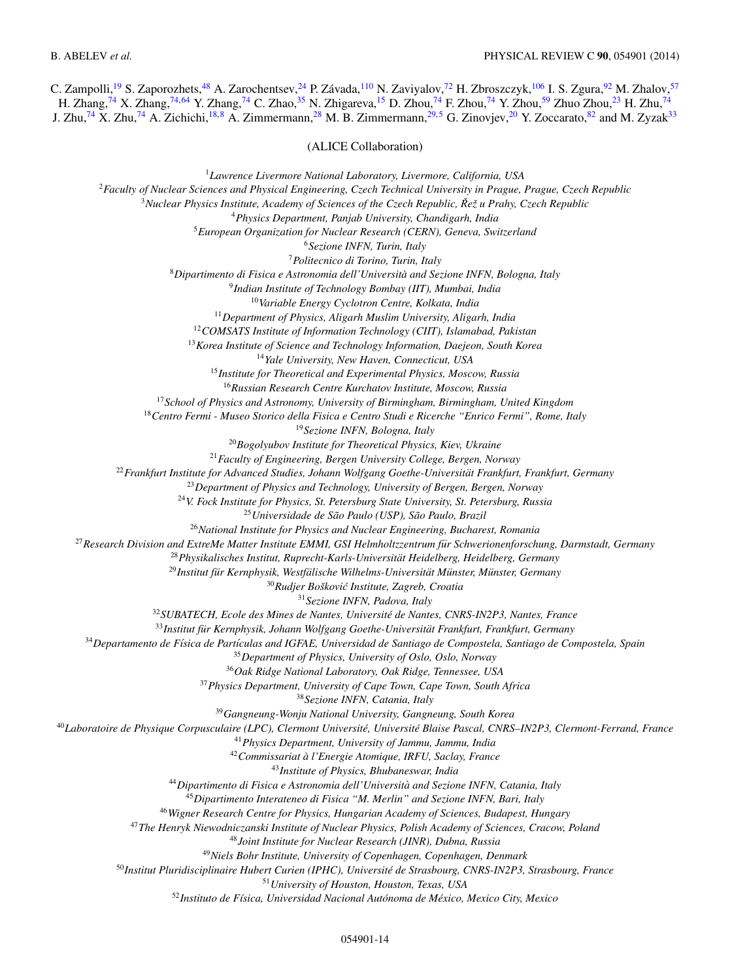<span id="page-13-0"></span>C. Zampolli,<sup>19</sup> S. Zaporozhets,<sup>48</sup> A. Zarochentsev,<sup>24</sup> P. Závada,<sup>[110](#page-14-0)</sup> N. Zaviyalov,<sup>[72](#page-14-0)</sup> H. Zbroszczyk,<sup>106</sup> I. S. Zgura,<sup>[92](#page-14-0)</sup> M. Zhalov,<sup>[57](#page-14-0)</sup> H. Zhang,<sup>[74](#page-14-0)</sup> X. Zhang,<sup>74,64</sup> Y. Zhang,<sup>74</sup> C. Zhao,<sup>35</sup> N. Zhigareva,<sup>15</sup> D. Zhou,<sup>74</sup> F. Zhou,<sup>74</sup> Y. Zhou,<sup>[59](#page-14-0)</sup> Zhuo Zhou,<sup>23</sup> H. Zhu,<sup>74</sup> J. Zhu,<sup>[74](#page-14-0)</sup> X. Zhu,<sup>74</sup> A. Zichichi,<sup>18,8</sup> A. Zimmermann,<sup>28</sup> M. B. Zimmermann,<sup>29,5</sup> G. Zinovjev,<sup>20</sup> Y. Zoccarato,<sup>[82](#page-14-0)</sup> and M. Zyzak<sup>33</sup>

(ALICE Collaboration)

*Lawrence Livermore National Laboratory, Livermore, California, USA Faculty of Nuclear Sciences and Physical Engineering, Czech Technical University in Prague, Prague, Czech Republic Nuclear Physics Institute, Academy of Sciences of the Czech Republic, Reˇ z u Prahy, Czech Republic ˇ Physics Department, Panjab University, Chandigarh, India European Organization for Nuclear Research (CERN), Geneva, Switzerland Sezione INFN, Turin, Italy Politecnico di Torino, Turin, Italy Dipartimento di Fisica e Astronomia dell'Universita and Sezione INFN, Bologna, Italy ` Indian Institute of Technology Bombay (IIT), Mumbai, India Variable Energy Cyclotron Centre, Kolkata, India Department of Physics, Aligarh Muslim University, Aligarh, India COMSATS Institute of Information Technology (CIIT), Islamabad, Pakistan Korea Institute of Science and Technology Information, Daejeon, South Korea Yale University, New Haven, Connecticut, USA Institute for Theoretical and Experimental Physics, Moscow, Russia Russian Research Centre Kurchatov Institute, Moscow, Russia School of Physics and Astronomy, University of Birmingham, Birmingham, United Kingdom Centro Fermi - Museo Storico della Fisica e Centro Studi e Ricerche "Enrico Fermi", Rome, Italy Sezione INFN, Bologna, Italy Bogolyubov Institute for Theoretical Physics, Kiev, Ukraine Faculty of Engineering, Bergen University College, Bergen, Norway Frankfurt Institute for Advanced Studies, Johann Wolfgang Goethe-Universitat Frankfurt, Frankfurt, Germany ¨ Department of Physics and Technology, University of Bergen, Bergen, Norway V. Fock Institute for Physics, St. Petersburg State University, St. Petersburg, Russia* <sup>25</sup> Universidade de São Paulo (USP), São Paulo, Brazil *National Institute for Physics and Nuclear Engineering, Bucharest, Romania Research Division and ExtreMe Matter Institute EMMI, GSI Helmholtzzentrum fur Schwerionenforschung, Darmstadt, Germany ¨ Physikalisches Institut, Ruprecht-Karls-Universitat Heidelberg, Heidelberg, Germany ¨* <sup>29</sup> Institut für Kernphysik, Westfälische Wilhelms-Universität Münster, Münster, Germany <sup>30</sup>Rudjer Bošković Institute, Zagreb, Croatia *Sezione INFN, Padova, Italy SUBATECH, Ecole des Mines de Nantes, Universite de Nantes, CNRS-IN2P3, Nantes, France ´* <sup>33</sup>Institut für Kernphysik, Johann Wolfgang Goethe-Universität Frankfurt, Frankfurt, Germany <sup>34</sup>Departamento de Física de Partículas and IGFAE, Universidad de Santiago de Compostela, Santiago de Compostela, Spain *Department of Physics, University of Oslo, Oslo, Norway Oak Ridge National Laboratory, Oak Ridge, Tennessee, USA Physics Department, University of Cape Town, Cape Town, South Africa Sezione INFN, Catania, Italy Gangneung-Wonju National University, Gangneung, South Korea Laboratoire de Physique Corpusculaire (LPC), Clermont Universite, Universit ´ e Blaise Pascal, CNRS–IN2P3, Clermont-Ferrand, France ´ Physics Department, University of Jammu, Jammu, India Commissariat a l'Energie Atomique, IRFU, Saclay, France ` Institute of Physics, Bhubaneswar, India Dipartimento di Fisica e Astronomia dell'Universita and Sezione INFN, Catania, Italy ` Dipartimento Interateneo di Fisica "M. Merlin" and Sezione INFN, Bari, Italy Wigner Research Centre for Physics, Hungarian Academy of Sciences, Budapest, Hungary The Henryk Niewodniczanski Institute of Nuclear Physics, Polish Academy of Sciences, Cracow, Poland Joint Institute for Nuclear Research (JINR), Dubna, Russia Niels Bohr Institute, University of Copenhagen, Copenhagen, Denmark Institut Pluridisciplinaire Hubert Curien (IPHC), Universite de Strasbourg, CNRS-IN2P3, Strasbourg, France ´ University of Houston, Houston, Texas, USA Instituto de F´ısica, Universidad Nacional Autonoma de M ´ exico, Mexico City, Mexico ´*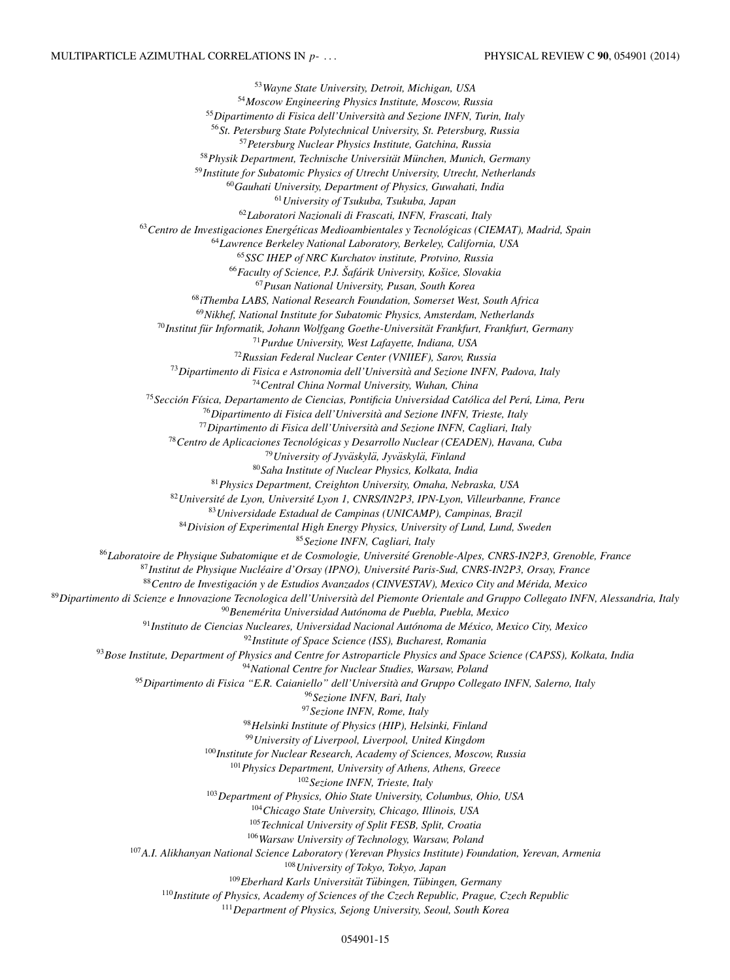<span id="page-14-0"></span>*Wayne State University, Detroit, Michigan, USA Moscow Engineering Physics Institute, Moscow, Russia Dipartimento di Fisica dell'Universita and Sezione INFN, Turin, Italy ` St. Petersburg State Polytechnical University, St. Petersburg, Russia Petersburg Nuclear Physics Institute, Gatchina, Russia Physik Department, Technische Universitat M¨ unchen, Munich, Germany ¨ Institute for Subatomic Physics of Utrecht University, Utrecht, Netherlands Gauhati University, Department of Physics, Guwahati, India University of Tsukuba, Tsukuba, Japan Laboratori Nazionali di Frascati, INFN, Frascati, Italy Centro de Investigaciones Energeticas Medioambientales y Tecnol ´ ogicas (CIEMAT), Madrid, Spain ´ Lawrence Berkeley National Laboratory, Berkeley, California, USA SSC IHEP of NRC Kurchatov institute, Protvino, Russia Faculty of Science, P.J. Saf ˇ arik University, Ko ´ sice, Slovakia ˇ Pusan National University, Pusan, South Korea iThemba LABS, National Research Foundation, Somerset West, South Africa Nikhef, National Institute for Subatomic Physics, Amsterdam, Netherlands* <sup>70</sup>Institut für Informatik, Johann Wolfgang Goethe-Universität Frankfurt, Frankfurt, Germany *Purdue University, West Lafayette, Indiana, USA Russian Federal Nuclear Center (VNIIEF), Sarov, Russia Dipartimento di Fisica e Astronomia dell'Universita and Sezione INFN, Padova, Italy ` Central China Normal University, Wuhan, China Seccion F ´ ´ısica, Departamento de Ciencias, Pontificia Universidad Catolica del Per ´ u, Lima, Peru ´ Dipartimento di Fisica dell'Universita and Sezione INFN, Trieste, Italy ` Dipartimento di Fisica dell'Universita and Sezione INFN, Cagliari, Italy ` Centro de Aplicaciones Tecnologicas y Desarrollo Nuclear (CEADEN), Havana, Cuba ´ University of Jyvaskyl ¨ a, Jyv ¨ askyl ¨ a, Finland ¨ Saha Institute of Nuclear Physics, Kolkata, India Physics Department, Creighton University, Omaha, Nebraska, USA Universite de Lyon, Universit ´ e Lyon 1, CNRS/IN2P3, IPN-Lyon, Villeurbanne, France ´ Universidade Estadual de Campinas (UNICAMP), Campinas, Brazil Division of Experimental High Energy Physics, University of Lund, Lund, Sweden Sezione INFN, Cagliari, Italy Laboratoire de Physique Subatomique et de Cosmologie, Universite Grenoble-Alpes, CNRS-IN2P3, Grenoble, France ´ Institut de Physique Nucleaire d'Orsay (IPNO), Universit ´ e Paris-Sud, CNRS-IN2P3, Orsay, France ´* 88 Centro de Investigación y de Estudios Avanzados (CINVESTAV), Mexico City and Mérida, Mexico *Dipartimento di Scienze e Innovazione Tecnologica dell'Universita del Piemonte Orientale and Gruppo Collegato INFN, Alessandria, Italy ` Benemerita Universidad Aut ´ onoma de Puebla, Puebla, Mexico ´ Instituto de Ciencias Nucleares, Universidad Nacional Autonoma de M ´ exico, Mexico City, Mexico ´ Institute of Space Science (ISS), Bucharest, Romania Bose Institute, Department of Physics and Centre for Astroparticle Physics and Space Science (CAPSS), Kolkata, India National Centre for Nuclear Studies, Warsaw, Poland Dipartimento di Fisica "E.R. Caianiello" dell'Universita and Gruppo Collegato INFN, Salerno, Italy ` Sezione INFN, Bari, Italy Sezione INFN, Rome, Italy Helsinki Institute of Physics (HIP), Helsinki, Finland University of Liverpool, Liverpool, United Kingdom Institute for Nuclear Research, Academy of Sciences, Moscow, Russia Physics Department, University of Athens, Athens, Greece Sezione INFN, Trieste, Italy Department of Physics, Ohio State University, Columbus, Ohio, USA Chicago State University, Chicago, Illinois, USA Technical University of Split FESB, Split, Croatia Warsaw University of Technology, Warsaw, Poland A.I. Alikhanyan National Science Laboratory (Yerevan Physics Institute) Foundation, Yerevan, Armenia University of Tokyo, Tokyo, Japan* <sup>109</sup> Eberhard Karls Universität Tübingen, Tübingen, Germany *Institute of Physics, Academy of Sciences of the Czech Republic, Prague, Czech Republic Department of Physics, Sejong University, Seoul, South Korea*

054901-15